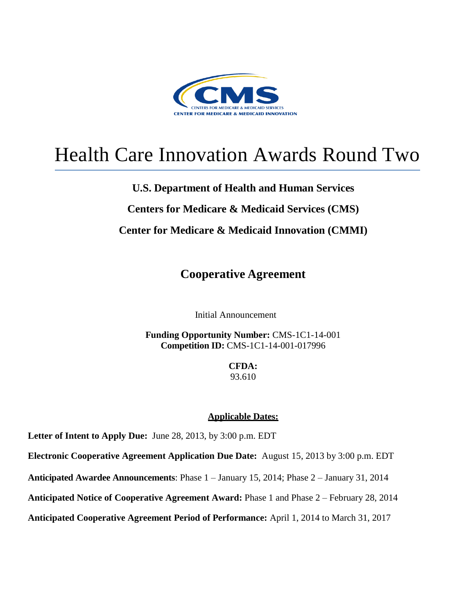

# Health Care Innovation Awards Round Two

## **U.S. Department of Health and Human Services**

## **Centers for Medicare & Medicaid Services (CMS)**

## **Center for Medicare & Medicaid Innovation (CMMI)**

**Cooperative Agreement**

Initial Announcement

**Funding Opportunity Number:** CMS-1C1-14-001 **Competition ID:** CMS-1C1-14-001-017996

> **CFDA:** 93.610

#### **Applicable Dates:**

**Letter of Intent to Apply Due:** June 28, 2013, by 3:00 p.m. EDT

**Electronic Cooperative Agreement Application Due Date:** August 15, 2013 by 3:00 p.m. EDT

**Anticipated Awardee Announcements**: Phase 1 – January 15, 2014; Phase 2 – January 31, 2014

**Anticipated Notice of Cooperative Agreement Award:** Phase 1 and Phase 2 – February 28, 2014

**Anticipated Cooperative Agreement Period of Performance:** April 1, 2014 to March 31, 2017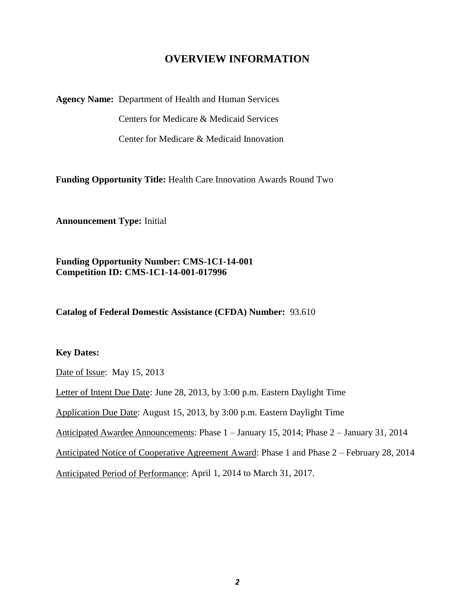## **OVERVIEW INFORMATION**

**Agency Name:** Department of Health and Human Services

Centers for Medicare & Medicaid Services

Center for Medicare & Medicaid Innovation

**Funding Opportunity Title:** Health Care Innovation Awards Round Two

**Announcement Type:** Initial

**Funding Opportunity Number: CMS-1C1-14-001 Competition ID: CMS-1C1-14-001-017996**

**Catalog of Federal Domestic Assistance (CFDA) Number:** 93.610

#### **Key Dates:**

Date of Issue: May 15, 2013

Letter of Intent Due Date: June 28, 2013, by 3:00 p.m. Eastern Daylight Time

Application Due Date: August 15, 2013, by 3:00 p.m. Eastern Daylight Time

Anticipated Awardee Announcements: Phase 1 – January 15, 2014; Phase 2 – January 31, 2014

Anticipated Notice of Cooperative Agreement Award: Phase 1 and Phase 2 – February 28, 2014

Anticipated Period of Performance: April 1, 2014 to March 31, 2017.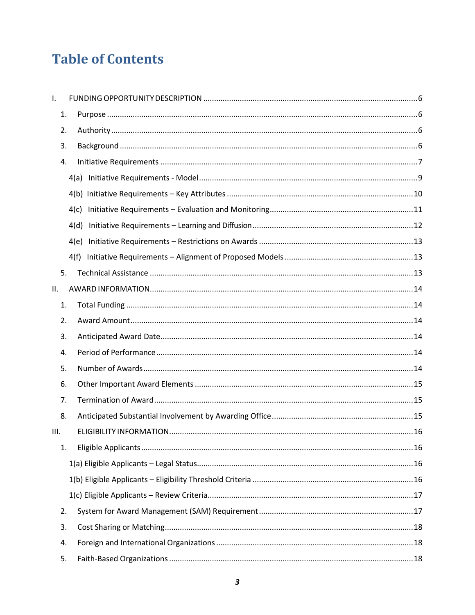## **Table of Contents**

| $\mathsf{L}$ |      |  |
|--------------|------|--|
| 1.           |      |  |
| 2.           |      |  |
| 3.           |      |  |
| 4.           |      |  |
|              |      |  |
|              |      |  |
|              | 4(c) |  |
|              | 4(d) |  |
|              | 4(e) |  |
|              | 4(f) |  |
| 5.           |      |  |
| II.          |      |  |
| 1.           |      |  |
| 2.           |      |  |
| 3.           |      |  |
| 4.           |      |  |
| 5.           |      |  |
| 6.           |      |  |
| 7.           |      |  |
| 8.           |      |  |
| III.         |      |  |
| 1.           |      |  |
|              |      |  |
|              |      |  |
|              |      |  |
| 2.           |      |  |
| 3.           |      |  |
| 4.           |      |  |
| 5.           |      |  |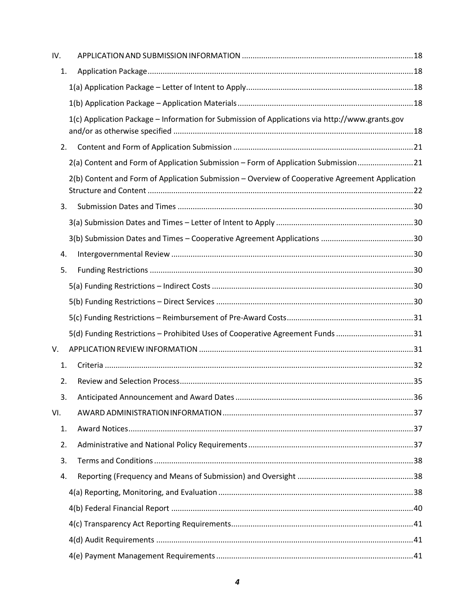| IV. |                                                                                                 |
|-----|-------------------------------------------------------------------------------------------------|
| 1.  |                                                                                                 |
|     |                                                                                                 |
|     |                                                                                                 |
|     | 1(c) Application Package - Information for Submission of Applications via http://www.grants.gov |
| 2.  |                                                                                                 |
|     | 2(a) Content and Form of Application Submission - Form of Application Submission21              |
|     | 2(b) Content and Form of Application Submission - Overview of Cooperative Agreement Application |
| 3.  |                                                                                                 |
|     |                                                                                                 |
|     |                                                                                                 |
| 4.  |                                                                                                 |
| 5.  |                                                                                                 |
|     |                                                                                                 |
|     |                                                                                                 |
|     |                                                                                                 |
|     | 5(d) Funding Restrictions - Prohibited Uses of Cooperative Agreement Funds 31                   |
| V.  |                                                                                                 |
| 1.  |                                                                                                 |
| 2.  |                                                                                                 |
| 3.  |                                                                                                 |
| VI. |                                                                                                 |
| 1.  |                                                                                                 |
| 2.  |                                                                                                 |
| 3.  |                                                                                                 |
| 4.  |                                                                                                 |
|     |                                                                                                 |
|     |                                                                                                 |
|     |                                                                                                 |
|     |                                                                                                 |
|     |                                                                                                 |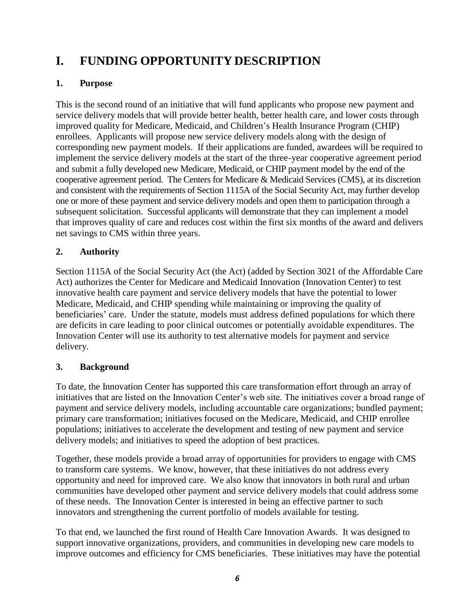## <span id="page-5-0"></span>**I. FUNDING OPPORTUNITY DESCRIPTION**

## <span id="page-5-1"></span>**1. Purpose**

This is the second round of an initiative that will fund applicants who propose new payment and service delivery models that will provide better health, better health care, and lower costs through improved quality for Medicare, Medicaid, and Children's Health Insurance Program (CHIP) enrollees. Applicants will propose new service delivery models along with the design of corresponding new payment models. If their applications are funded, awardees will be required to implement the service delivery models at the start of the three-year cooperative agreement period and submit a fully developed new Medicare, Medicaid, or CHIP payment model by the end of the cooperative agreement period. The Centers for Medicare & Medicaid Services (CMS), at its discretion and consistent with the requirements of Section 1115A of the Social Security Act, may further develop one or more of these payment and service delivery models and open them to participation through a subsequent solicitation. Successful applicants will demonstrate that they can implement a model that improves quality of care and reduces cost within the first six months of the award and delivers net savings to CMS within three years.

## <span id="page-5-2"></span>**2. Authority**

Section 1115A of the Social Security Act (the Act) (added by Section 3021 of the Affordable Care Act) authorizes the Center for Medicare and Medicaid Innovation (Innovation Center) to test innovative health care payment and service delivery models that have the potential to lower Medicare, Medicaid, and CHIP spending while maintaining or improving the quality of beneficiaries' care. Under the statute, models must address defined populations for which there are deficits in care leading to poor clinical outcomes or potentially avoidable expenditures. The Innovation Center will use its authority to test alternative models for payment and service delivery.

## <span id="page-5-3"></span>**3. Background**

To date, the Innovation Center has supported this care transformation effort through an array of initiatives that are listed on the Innovation Center's web site. The initiatives cover a broad range of payment and service delivery models, including accountable care organizations; bundled payment; primary care transformation; initiatives focused on the Medicare, Medicaid, and CHIP enrollee populations; initiatives to accelerate the development and testing of new payment and service delivery models; and initiatives to speed the adoption of best practices.

Together, these models provide a broad array of opportunities for providers to engage with CMS to transform care systems. We know, however, that these initiatives do not address every opportunity and need for improved care. We also know that innovators in both rural and urban communities have developed other payment and service delivery models that could address some of these needs. The Innovation Center is interested in being an effective partner to such innovators and strengthening the current portfolio of models available for testing.

To that end, we launched the first round of Health Care Innovation Awards. It was designed to support innovative organizations, providers, and communities in developing new care models to improve outcomes and efficiency for CMS beneficiaries. These initiatives may have the potential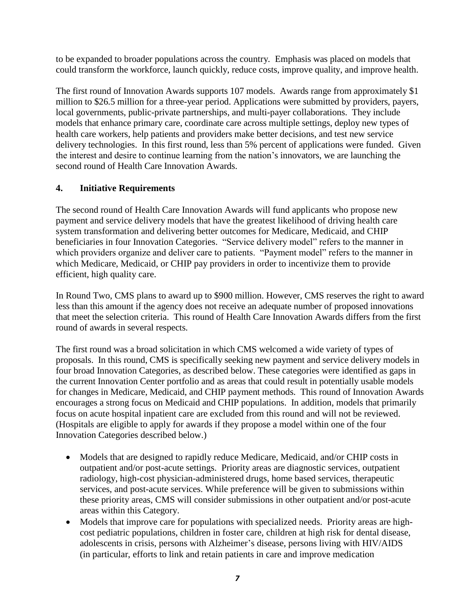to be expanded to broader populations across the country. Emphasis was placed on models that could transform the workforce, launch quickly, reduce costs, improve quality, and improve health.

The first round of Innovation Awards supports 107 models. Awards range from approximately \$1 million to \$26.5 million for a three-year period. Applications were submitted by providers, payers, local governments, public-private partnerships, and multi-payer collaborations. They include models that enhance primary care, coordinate care across multiple settings, deploy new types of health care workers, help patients and providers make better decisions, and test new service delivery technologies. In this first round, less than 5% percent of applications were funded. Given the interest and desire to continue learning from the nation's innovators, we are launching the second round of Health Care Innovation Awards.

## <span id="page-6-0"></span>**4. Initiative Requirements**

The second round of Health Care Innovation Awards will fund applicants who propose new payment and service delivery models that have the greatest likelihood of driving health care system transformation and delivering better outcomes for Medicare, Medicaid, and CHIP beneficiaries in four Innovation Categories. "Service delivery model" refers to the manner in which providers organize and deliver care to patients. "Payment model" refers to the manner in which Medicare, Medicaid, or CHIP pay providers in order to incentivize them to provide efficient, high quality care.

In Round Two, CMS plans to award up to \$900 million. However, CMS reserves the right to award less than this amount if the agency does not receive an adequate number of proposed innovations that meet the selection criteria. This round of Health Care Innovation Awards differs from the first round of awards in several respects.

The first round was a broad solicitation in which CMS welcomed a wide variety of types of proposals. In this round, CMS is specifically seeking new payment and service delivery models in four broad Innovation Categories, as described below. These categories were identified as gaps in the current Innovation Center portfolio and as areas that could result in potentially usable models for changes in Medicare, Medicaid, and CHIP payment methods. This round of Innovation Awards encourages a strong focus on Medicaid and CHIP populations. In addition, models that primarily focus on acute hospital inpatient care are excluded from this round and will not be reviewed. (Hospitals are eligible to apply for awards if they propose a model within one of the four Innovation Categories described below.)

- Models that are designed to rapidly reduce Medicare, Medicaid, and/or CHIP costs in outpatient and/or post-acute settings. Priority areas are diagnostic services, outpatient radiology, high-cost physician-administered drugs, home based services, therapeutic services, and post-acute services. While preference will be given to submissions within these priority areas, CMS will consider submissions in other outpatient and/or post-acute areas within this Category.
- Models that improve care for populations with specialized needs. Priority areas are highcost pediatric populations, children in foster care, children at high risk for dental disease, adolescents in crisis, persons with Alzheimer's disease, persons living with HIV/AIDS (in particular, efforts to link and retain patients in care and improve medication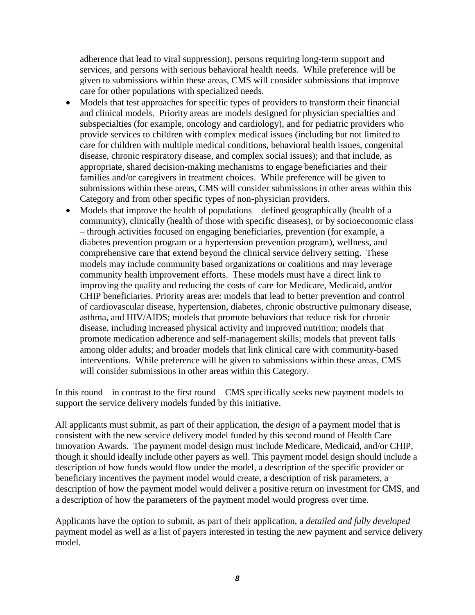adherence that lead to viral suppression), persons requiring long-term support and services, and persons with serious behavioral health needs. While preference will be given to submissions within these areas, CMS will consider submissions that improve care for other populations with specialized needs.

- Models that test approaches for specific types of providers to transform their financial and clinical models. Priority areas are models designed for physician specialties and subspecialties (for example, oncology and cardiology), and for pediatric providers who provide services to children with complex medical issues (including but not limited to care for children with multiple medical conditions, behavioral health issues, congenital disease, chronic respiratory disease, and complex social issues); and that include, as appropriate, shared decision-making mechanisms to engage beneficiaries and their families and/or caregivers in treatment choices. While preference will be given to submissions within these areas, CMS will consider submissions in other areas within this Category and from other specific types of non-physician providers.
- Models that improve the health of populations defined geographically (health of a community), clinically (health of those with specific diseases), or by socioeconomic class – through activities focused on engaging beneficiaries, prevention (for example, a diabetes prevention program or a hypertension prevention program), wellness, and comprehensive care that extend beyond the clinical service delivery setting. These models may include community based organizations or coalitions and may leverage community health improvement efforts. These models must have a direct link to improving the quality and reducing the costs of care for Medicare, Medicaid, and/or CHIP beneficiaries. Priority areas are: models that lead to better prevention and control of cardiovascular disease, hypertension, diabetes, chronic obstructive pulmonary disease, asthma, and HIV/AIDS; models that promote behaviors that reduce risk for chronic disease, including increased physical activity and improved nutrition; models that promote medication adherence and self-management skills; models that prevent falls among older adults; and broader models that link clinical care with community-based interventions. While preference will be given to submissions within these areas, CMS will consider submissions in other areas within this Category.

In this round – in contrast to the first round – CMS specifically seeks new payment models to support the service delivery models funded by this initiative.

All applicants must submit, as part of their application, the *design* of a payment model that is consistent with the new service delivery model funded by this second round of Health Care Innovation Awards. The payment model design must include Medicare, Medicaid, and/or CHIP, though it should ideally include other payers as well. This payment model design should include a description of how funds would flow under the model, a description of the specific provider or beneficiary incentives the payment model would create, a description of risk parameters, a description of how the payment model would deliver a positive return on investment for CMS, and a description of how the parameters of the payment model would progress over time.

Applicants have the option to submit, as part of their application, a *detailed and fully developed* payment model as well as a list of payers interested in testing the new payment and service delivery model.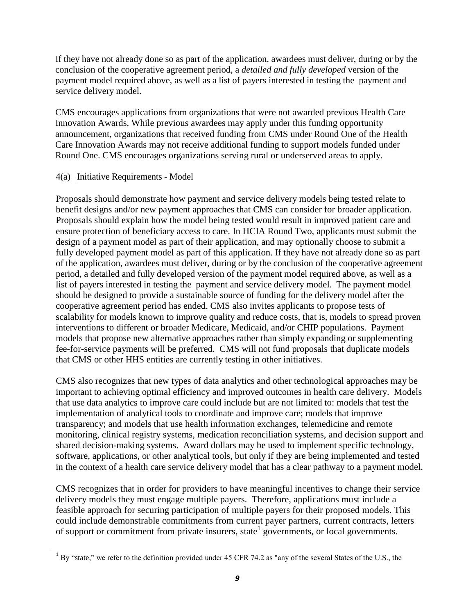If they have not already done so as part of the application, awardees must deliver, during or by the conclusion of the cooperative agreement period, a *detailed and fully developed* version of the payment model required above, as well as a list of payers interested in testing the payment and service delivery model.

CMS encourages applications from organizations that were not awarded previous Health Care Innovation Awards. While previous awardees may apply under this funding opportunity announcement, organizations that received funding from CMS under Round One of the Health Care Innovation Awards may not receive additional funding to support models funded under Round One. CMS encourages organizations serving rural or underserved areas to apply.

#### <span id="page-8-0"></span>4(a) Initiative Requirements - Model

 $\overline{a}$ 

Proposals should demonstrate how payment and service delivery models being tested relate to benefit designs and/or new payment approaches that CMS can consider for broader application. Proposals should explain how the model being tested would result in improved patient care and ensure protection of beneficiary access to care. In HCIA Round Two, applicants must submit the design of a payment model as part of their application, and may optionally choose to submit a fully developed payment model as part of this application. If they have not already done so as part of the application, awardees must deliver, during or by the conclusion of the cooperative agreement period, a detailed and fully developed version of the payment model required above, as well as a list of payers interested in testing the payment and service delivery model. The payment model should be designed to provide a sustainable source of funding for the delivery model after the cooperative agreement period has ended. CMS also invites applicants to propose tests of scalability for models known to improve quality and reduce costs, that is, models to spread proven interventions to different or broader Medicare, Medicaid, and/or CHIP populations. Payment models that propose new alternative approaches rather than simply expanding or supplementing fee-for-service payments will be preferred. CMS will not fund proposals that duplicate models that CMS or other HHS entities are currently testing in other initiatives.

CMS also recognizes that new types of data analytics and other technological approaches may be important to achieving optimal efficiency and improved outcomes in health care delivery. Models that use data analytics to improve care could include but are not limited to: models that test the implementation of analytical tools to coordinate and improve care; models that improve transparency; and models that use health information exchanges, telemedicine and remote monitoring, clinical registry systems, medication reconciliation systems, and decision support and shared decision-making systems. Award dollars may be used to implement specific technology, software, applications, or other analytical tools, but only if they are being implemented and tested in the context of a health care service delivery model that has a clear pathway to a payment model.

CMS recognizes that in order for providers to have meaningful incentives to change their service delivery models they must engage multiple payers. Therefore, applications must include a feasible approach for securing participation of multiple payers for their proposed models. This could include demonstrable commitments from current payer partners, current contracts, letters of support or commitment from private insurers, state<sup>1</sup> governments, or local governments.

 $1$  By "state," we refer to the definition provided under 45 CFR 74.2 as "any of the several States of the U.S., the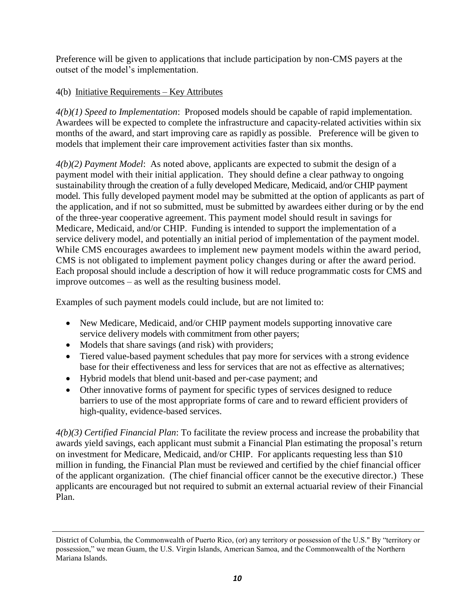Preference will be given to applications that include participation by non-CMS payers at the outset of the model's implementation.

## <span id="page-9-0"></span>4(b) Initiative Requirements – Key Attributes

*4(b)(1) Speed to Implementation*: Proposed models should be capable of rapid implementation. Awardees will be expected to complete the infrastructure and capacity-related activities within six months of the award, and start improving care as rapidly as possible. Preference will be given to models that implement their care improvement activities faster than six months.

*4(b)(2) Payment Model*: As noted above, applicants are expected to submit the design of a payment model with their initial application. They should define a clear pathway to ongoing sustainability through the creation of a fully developed Medicare, Medicaid, and/or CHIP payment model. This fully developed payment model may be submitted at the option of applicants as part of the application, and if not so submitted, must be submitted by awardees either during or by the end of the three-year cooperative agreement. This payment model should result in savings for Medicare, Medicaid, and/or CHIP. Funding is intended to support the implementation of a service delivery model, and potentially an initial period of implementation of the payment model. While CMS encourages awardees to implement new payment models within the award period, CMS is not obligated to implement payment policy changes during or after the award period. Each proposal should include a description of how it will reduce programmatic costs for CMS and improve outcomes – as well as the resulting business model.

Examples of such payment models could include, but are not limited to:

- New Medicare, Medicaid, and/or CHIP payment models supporting innovative care service delivery models with commitment from other payers;
- Models that share savings (and risk) with providers;

 $\overline{a}$ 

- Tiered value-based payment schedules that pay more for services with a strong evidence base for their effectiveness and less for services that are not as effective as alternatives;
- Hybrid models that blend unit-based and per-case payment; and
- Other innovative forms of payment for specific types of services designed to reduce barriers to use of the most appropriate forms of care and to reward efficient providers of high-quality, evidence-based services.

*4(b)(3) Certified Financial Plan*: To facilitate the review process and increase the probability that awards yield savings, each applicant must submit a Financial Plan estimating the proposal's return on investment for Medicare, Medicaid, and/or CHIP. For applicants requesting less than \$10 million in funding, the Financial Plan must be reviewed and certified by the chief financial officer of the applicant organization. (The chief financial officer cannot be the executive director.) These applicants are encouraged but not required to submit an external actuarial review of their Financial Plan.

District of Columbia, the Commonwealth of Puerto Rico, (or) any territory or possession of the U.S." By "territory or possession," we mean Guam, the U.S. Virgin Islands, American Samoa, and the Commonwealth of the Northern Mariana Islands.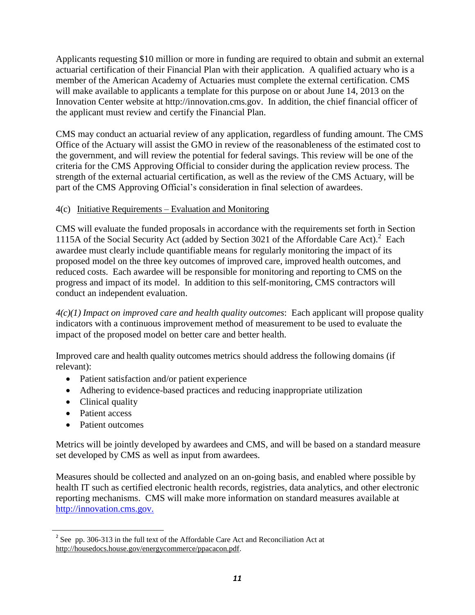Applicants requesting \$10 million or more in funding are required to obtain and submit an external actuarial certification of their Financial Plan with their application. A qualified actuary who is a member of the American Academy of Actuaries must complete the external certification. CMS will make available to applicants a template for this purpose on or about June 14, 2013 on the Innovation Center website at http://innovation.cms.gov. In addition, the chief financial officer of the applicant must review and certify the Financial Plan.

CMS may conduct an actuarial review of any application, regardless of funding amount. The CMS Office of the Actuary will assist the GMO in review of the reasonableness of the estimated cost to the government, and will review the potential for federal savings. This review will be one of the criteria for the CMS Approving Official to consider during the application review process. The strength of the external actuarial certification, as well as the review of the CMS Actuary, will be part of the CMS Approving Official's consideration in final selection of awardees.

#### <span id="page-10-0"></span>4(c) Initiative Requirements – Evaluation and Monitoring

CMS will evaluate the funded proposals in accordance with the requirements set forth in Section 1115A of the Social Security Act (added by Section 3021 of the Affordable Care Act). 2 Each awardee must clearly include quantifiable means for regularly monitoring the impact of its proposed model on the three key outcomes of improved care, improved health outcomes, and reduced costs. Each awardee will be responsible for monitoring and reporting to CMS on the progress and impact of its model. In addition to this self-monitoring, CMS contractors will conduct an independent evaluation.

*4(c)(1) Impact on improved care and health quality outcomes*: Each applicant will propose quality indicators with a continuous improvement method of measurement to be used to evaluate the impact of the proposed model on better care and better health.

Improved care and health quality outcomes metrics should address the following domains (if relevant):

- Patient satisfaction and/or patient experience
- Adhering to evidence-based practices and reducing inappropriate utilization
- Clinical quality
- Patient access

 $\ddot{\phantom{a}}$ 

• Patient outcomes

Metrics will be jointly developed by awardees and CMS, and will be based on a standard measure set developed by CMS as well as input from awardees.

Measures should be collected and analyzed on an on-going basis, and enabled where possible by health IT such as certified electronic health records, registries, data analytics, and other electronic reporting mechanisms. CMS will make more information on standard measures available at [http://innovation.cms.gov.](http://innovation.cms.gov./)

 $2^2$  See pp. 306-313 in the full text of the Affordable Care Act and Reconciliation Act at [http://housedocs.house.gov/energycommerce/ppacacon.pdf.](http://housedocs.house.gov/energycommerce/ppacacon.pdf)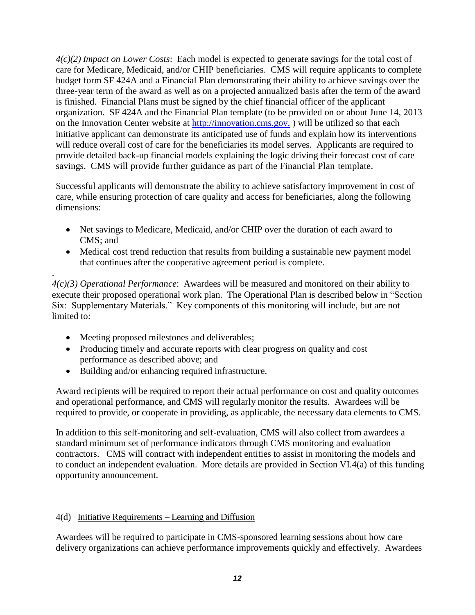*4(c)(2) Impact on Lower Costs*: Each model is expected to generate savings for the total cost of care for Medicare, Medicaid, and/or CHIP beneficiaries. CMS will require applicants to complete budget form SF 424A and a Financial Plan demonstrating their ability to achieve savings over the three-year term of the award as well as on a projected annualized basis after the term of the award is finished. Financial Plans must be signed by the chief financial officer of the applicant organization. SF 424A and the Financial Plan template (to be provided on or about June 14, 2013 on the Innovation Center website at [http://innovation.cms.gov.](http://innovation.cms.gov./)) will be utilized so that each initiative applicant can demonstrate its anticipated use of funds and explain how its interventions will reduce overall cost of care for the beneficiaries its model serves. Applicants are required to provide detailed back-up financial models explaining the logic driving their forecast cost of care savings. CMS will provide further guidance as part of the Financial Plan template.

Successful applicants will demonstrate the ability to achieve satisfactory improvement in cost of care, while ensuring protection of care quality and access for beneficiaries, along the following dimensions:

- Net savings to Medicare, Medicaid, and/or CHIP over the duration of each award to CMS; and
- Medical cost trend reduction that results from building a sustainable new payment model that continues after the cooperative agreement period is complete.

*4(c)(3) Operational Performance*: Awardees will be measured and monitored on their ability to execute their proposed operational work plan. The Operational Plan is described below in "Section Six: Supplementary Materials." Key components of this monitoring will include, but are not limited to:

• Meeting proposed milestones and deliverables;

.

- Producing timely and accurate reports with clear progress on quality and cost performance as described above; and
- Building and/or enhancing required infrastructure.

Award recipients will be required to report their actual performance on cost and quality outcomes and operational performance, and CMS will regularly monitor the results. Awardees will be required to provide, or cooperate in providing, as applicable, the necessary data elements to CMS.

In addition to this self-monitoring and self-evaluation, CMS will also collect from awardees a standard minimum set of performance indicators through CMS monitoring and evaluation contractors. CMS will contract with independent entities to assist in monitoring the models and to conduct an independent evaluation. More details are provided in Section VI.4(a) of this funding opportunity announcement.

#### <span id="page-11-0"></span>4(d) Initiative Requirements – Learning and Diffusion

Awardees will be required to participate in CMS-sponsored learning sessions about how care delivery organizations can achieve performance improvements quickly and effectively. Awardees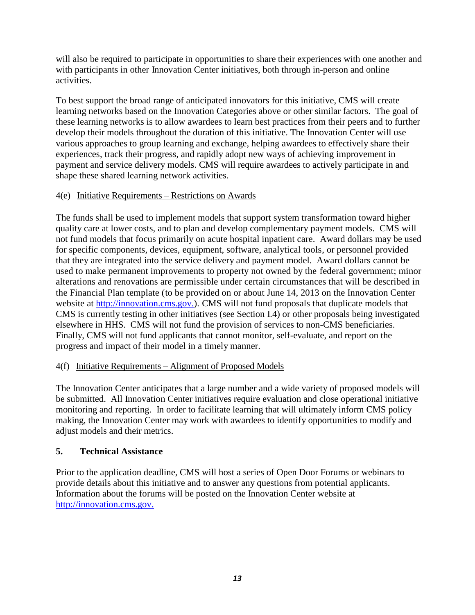will also be required to participate in opportunities to share their experiences with one another and with participants in other Innovation Center initiatives, both through in-person and online activities.

To best support the broad range of anticipated innovators for this initiative, CMS will create learning networks based on the Innovation Categories above or other similar factors. The goal of these learning networks is to allow awardees to learn best practices from their peers and to further develop their models throughout the duration of this initiative. The Innovation Center will use various approaches to group learning and exchange, helping awardees to effectively share their experiences, track their progress, and rapidly adopt new ways of achieving improvement in payment and service delivery models. CMS will require awardees to actively participate in and shape these shared learning network activities.

#### <span id="page-12-0"></span>4(e) Initiative Requirements – Restrictions on Awards

The funds shall be used to implement models that support system transformation toward higher quality care at lower costs, and to plan and develop complementary payment models. CMS will not fund models that focus primarily on acute hospital inpatient care. Award dollars may be used for specific components, devices, equipment, software, analytical tools, or personnel provided that they are integrated into the service delivery and payment model. Award dollars cannot be used to make permanent improvements to property not owned by the federal government; minor alterations and renovations are permissible under certain circumstances that will be described in the Financial Plan template (to be provided on or about June 14, 2013 on the Innovation Center website at [http://innovation.cms.gov.\)](http://innovation.cms.gov./). CMS will not fund proposals that duplicate models that CMS is currently testing in other initiatives (see Section I.4) or other proposals being investigated elsewhere in HHS. CMS will not fund the provision of services to non-CMS beneficiaries. Finally, CMS will not fund applicants that cannot monitor, self-evaluate, and report on the progress and impact of their model in a timely manner.

#### <span id="page-12-1"></span>4(f) Initiative Requirements – Alignment of Proposed Models

The Innovation Center anticipates that a large number and a wide variety of proposed models will be submitted. All Innovation Center initiatives require evaluation and close operational initiative monitoring and reporting. In order to facilitate learning that will ultimately inform CMS policy making, the Innovation Center may work with awardees to identify opportunities to modify and adjust models and their metrics.

## <span id="page-12-2"></span>**5. Technical Assistance**

Prior to the application deadline, CMS will host a series of Open Door Forums or webinars to provide details about this initiative and to answer any questions from potential applicants. Information about the forums will be posted on the Innovation Center website at [http://innovation.cms.gov.](http://innovation.cms.gov./)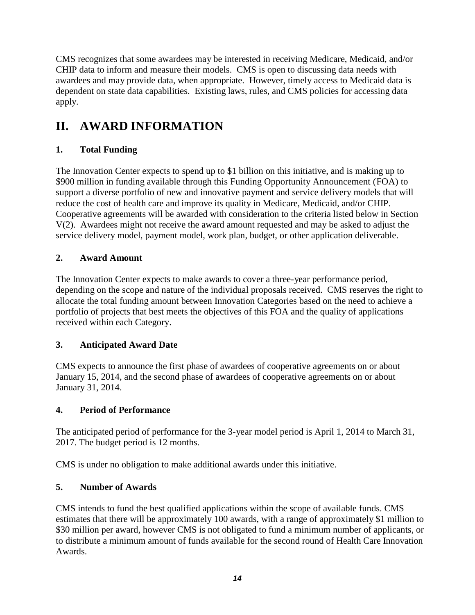CMS recognizes that some awardees may be interested in receiving Medicare, Medicaid, and/or CHIP data to inform and measure their models. CMS is open to discussing data needs with awardees and may provide data, when appropriate. However, timely access to Medicaid data is dependent on state data capabilities. Existing laws, rules, and CMS policies for accessing data apply.

## <span id="page-13-0"></span>**II. AWARD INFORMATION**

## <span id="page-13-1"></span>**1. Total Funding**

The Innovation Center expects to spend up to \$1 billion on this initiative, and is making up to \$900 million in funding available through this Funding Opportunity Announcement (FOA) to support a diverse portfolio of new and innovative payment and service delivery models that will reduce the cost of health care and improve its quality in Medicare, Medicaid, and/or CHIP. Cooperative agreements will be awarded with consideration to the criteria listed below in Section V(2). Awardees might not receive the award amount requested and may be asked to adjust the service delivery model, payment model, work plan, budget, or other application deliverable.

## <span id="page-13-2"></span>**2. Award Amount**

The Innovation Center expects to make awards to cover a three-year performance period, depending on the scope and nature of the individual proposals received. CMS reserves the right to allocate the total funding amount between Innovation Categories based on the need to achieve a portfolio of projects that best meets the objectives of this FOA and the quality of applications received within each Category.

## <span id="page-13-3"></span>**3. Anticipated Award Date**

CMS expects to announce the first phase of awardees of cooperative agreements on or about January 15, 2014, and the second phase of awardees of cooperative agreements on or about January 31, 2014.

## <span id="page-13-4"></span>**4. Period of Performance**

The anticipated period of performance for the 3-year model period is April 1, 2014 to March 31, 2017. The budget period is 12 months.

CMS is under no obligation to make additional awards under this initiative.

## <span id="page-13-5"></span>**5. Number of Awards**

CMS intends to fund the best qualified applications within the scope of available funds. CMS estimates that there will be approximately 100 awards, with a range of approximately \$1 million to \$30 million per award, however CMS is not obligated to fund a minimum number of applicants, or to distribute a minimum amount of funds available for the second round of Health Care Innovation Awards.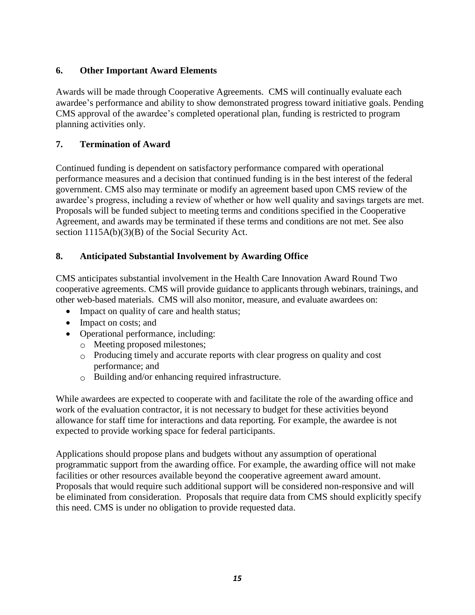## <span id="page-14-0"></span>**6. Other Important Award Elements**

Awards will be made through Cooperative Agreements. CMS will continually evaluate each awardee's performance and ability to show demonstrated progress toward initiative goals. Pending CMS approval of the awardee's completed operational plan, funding is restricted to program planning activities only.

## <span id="page-14-1"></span>**7. Termination of Award**

Continued funding is dependent on satisfactory performance compared with operational performance measures and a decision that continued funding is in the best interest of the federal government. CMS also may terminate or modify an agreement based upon CMS review of the awardee's progress, including a review of whether or how well quality and savings targets are met. Proposals will be funded subject to meeting terms and conditions specified in the Cooperative Agreement, and awards may be terminated if these terms and conditions are not met. See also section 1115A(b)(3)(B) of the Social Security Act.

## <span id="page-14-2"></span>**8. Anticipated Substantial Involvement by Awarding Office**

CMS anticipates substantial involvement in the Health Care Innovation Award Round Two cooperative agreements. CMS will provide guidance to applicants through webinars, trainings, and other web-based materials. CMS will also monitor, measure, and evaluate awardees on:

- Impact on quality of care and health status;
- Impact on costs; and
- Operational performance, including:
	- o Meeting proposed milestones;
	- $\circ$  Producing timely and accurate reports with clear progress on quality and cost performance; and
	- o Building and/or enhancing required infrastructure.

While awardees are expected to cooperate with and facilitate the role of the awarding office and work of the evaluation contractor, it is not necessary to budget for these activities beyond allowance for staff time for interactions and data reporting. For example, the awardee is not expected to provide working space for federal participants.

Applications should propose plans and budgets without any assumption of operational programmatic support from the awarding office. For example, the awarding office will not make facilities or other resources available beyond the cooperative agreement award amount. Proposals that would require such additional support will be considered non-responsive and will be eliminated from consideration. Proposals that require data from CMS should explicitly specify this need. CMS is under no obligation to provide requested data.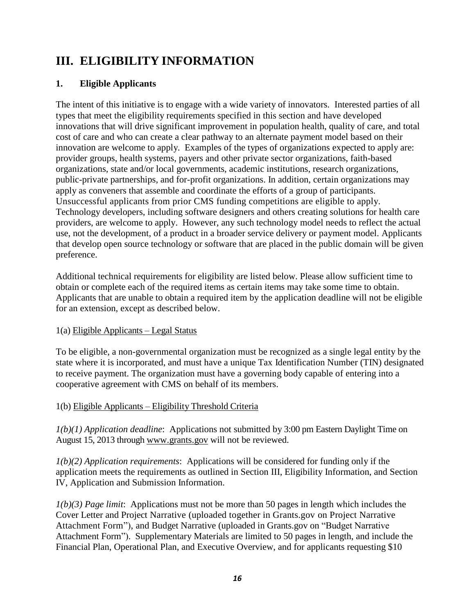## <span id="page-15-0"></span>**III. ELIGIBILITY INFORMATION**

## <span id="page-15-1"></span>**1. Eligible Applicants**

The intent of this initiative is to engage with a wide variety of innovators. Interested parties of all types that meet the eligibility requirements specified in this section and have developed innovations that will drive significant improvement in population health, quality of care, and total cost of care and who can create a clear pathway to an alternate payment model based on their innovation are welcome to apply. Examples of the types of organizations expected to apply are: provider groups, health systems, payers and other private sector organizations, faith-based organizations, state and/or local governments, academic institutions, research organizations, public-private partnerships, and for-profit organizations. In addition, certain organizations may apply as conveners that assemble and coordinate the efforts of a group of participants. Unsuccessful applicants from prior CMS funding competitions are eligible to apply. Technology developers, including software designers and others creating solutions for health care providers, are welcome to apply. However, any such technology model needs to reflect the actual use, not the development, of a product in a broader service delivery or payment model. Applicants that develop open source technology or software that are placed in the public domain will be given preference.

Additional technical requirements for eligibility are listed below. Please allow sufficient time to obtain or complete each of the required items as certain items may take some time to obtain. Applicants that are unable to obtain a required item by the application deadline will not be eligible for an extension, except as described below.

## <span id="page-15-2"></span>1(a) Eligible Applicants – Legal Status

To be eligible, a non-governmental organization must be recognized as a single legal entity by the state where it is incorporated, and must have a unique Tax Identification Number (TIN) designated to receive payment. The organization must have a governing body capable of entering into a cooperative agreement with CMS on behalf of its members.

## <span id="page-15-3"></span>1(b) Eligible Applicants – Eligibility Threshold Criteria

*1(b)(1) Application deadline*: Applications not submitted by 3:00 pm Eastern Daylight Time on August 15, 2013 through [www.grants.gov](http://www.grants.gov/) will not be reviewed.

*1(b)(2) Application requirements*: Applications will be considered for funding only if the application meets the requirements as outlined in Section III, Eligibility Information, and Section IV, Application and Submission Information.

*1(b)(3) Page limit*: Applications must not be more than 50 pages in length which includes the Cover Letter and Project Narrative (uploaded together in Grants.gov on Project Narrative Attachment Form"), and Budget Narrative (uploaded in Grants.gov on "Budget Narrative Attachment Form"). Supplementary Materials are limited to 50 pages in length, and include the Financial Plan, Operational Plan, and Executive Overview, and for applicants requesting \$10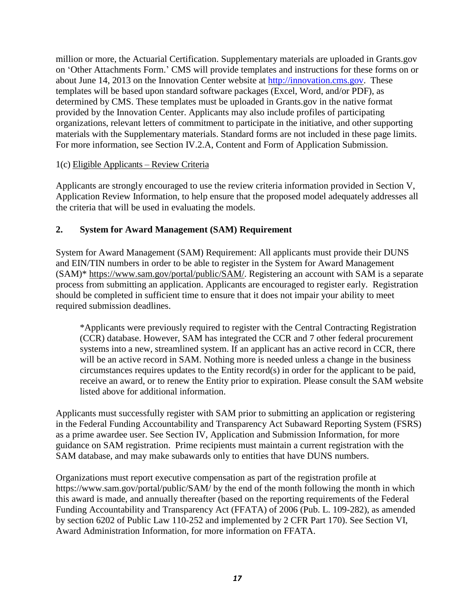million or more, the Actuarial Certification. Supplementary materials are uploaded in Grants.gov on 'Other Attachments Form.' CMS will provide templates and instructions for these forms on or about June 14, 2013 on the Innovation Center website at [http://innovation.cms.gov.](http://innovation.cms.gov./) These templates will be based upon standard software packages (Excel, Word, and/or PDF), as determined by CMS. These templates must be uploaded in Grants.gov in the native format provided by the Innovation Center. Applicants may also include profiles of participating organizations, relevant letters of commitment to participate in the initiative, and other supporting materials with the Supplementary materials. Standard forms are not included in these page limits. For more information, see Section IV.2.A, Content and Form of Application Submission.

#### <span id="page-16-0"></span>1(c) Eligible Applicants – Review Criteria

Applicants are strongly encouraged to use the review criteria information provided in Section V, Application Review Information, to help ensure that the proposed model adequately addresses all the criteria that will be used in evaluating the models.

#### <span id="page-16-1"></span>**2. System for Award Management (SAM) Requirement**

System for Award Management (SAM) Requirement: All applicants must provide their DUNS and EIN/TIN numbers in order to be able to register in the System for Award Management (SAM)\* [https://www.sam.gov/portal/public/SAM/.](https://www.sam.gov/portal/public/SAM/) Registering an account with SAM is a separate process from submitting an application. Applicants are encouraged to register early. Registration should be completed in sufficient time to ensure that it does not impair your ability to meet required submission deadlines.

\*Applicants were previously required to register with the Central Contracting Registration (CCR) database. However, SAM has integrated the CCR and 7 other federal procurement systems into a new, streamlined system. If an applicant has an active record in CCR, there will be an active record in SAM. Nothing more is needed unless a change in the business circumstances requires updates to the Entity record(s) in order for the applicant to be paid, receive an award, or to renew the Entity prior to expiration. Please consult the SAM website listed above for additional information.

Applicants must successfully register with SAM prior to submitting an application or registering in the Federal Funding Accountability and Transparency Act Subaward Reporting System (FSRS) as a prime awardee user. See Section IV, Application and Submission Information, for more guidance on SAM registration. Prime recipients must maintain a current registration with the SAM database, and may make subawards only to entities that have DUNS numbers.

Organizations must report executive compensation as part of the registration profile at https://www.sam.gov/portal/public/SAM/ by the end of the month following the month in which this award is made, and annually thereafter (based on the reporting requirements of the Federal Funding Accountability and Transparency Act (FFATA) of 2006 (Pub. L. 109-282), as amended by section 6202 of Public Law 110-252 and implemented by 2 CFR Part 170). See Section VI, Award Administration Information, for more information on FFATA.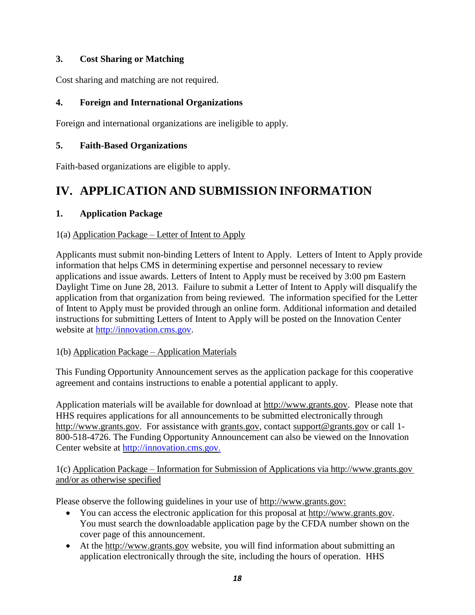## <span id="page-17-0"></span>**3. Cost Sharing or Matching**

Cost sharing and matching are not required.

## <span id="page-17-1"></span>**4. Foreign and International Organizations**

Foreign and international organizations are ineligible to apply.

## <span id="page-17-2"></span>**5. Faith-Based Organizations**

Faith-based organizations are eligible to apply.

## <span id="page-17-3"></span>**IV. APPLICATION AND SUBMISSION INFORMATION**

## <span id="page-17-4"></span>**1. Application Package**

## <span id="page-17-5"></span>1(a) Application Package – Letter of Intent to Apply

Applicants must submit non-binding Letters of Intent to Apply. Letters of Intent to Apply provide information that helps CMS in determining expertise and personnel necessary to review applications and issue awards. Letters of Intent to Apply must be received by 3:00 pm Eastern Daylight Time on June 28, 2013. Failure to submit a Letter of Intent to Apply will disqualify the application from that organization from being reviewed. The information specified for the Letter of Intent to Apply must be provided through an online form. Additional information and detailed instructions for submitting Letters of Intent to Apply will be posted on the Innovation Center website at [http://innovation.cms.gov.](http://innovation.cms.gov./)

## <span id="page-17-6"></span>1(b) Application Package – Application Materials

This Funding Opportunity Announcement serves as the application package for this cooperative agreement and contains instructions to enable a potential applicant to apply.

Application materials will be available for download at [http://www.grants.gov.](http://www.grants.gov/) Please note that HHS requires applications for all announcements to be submitted electronically through [http://www.grants.gov. F](http://www.grants.gov/)or assistance with [grants.gov,](http://www.grants.gov/) contact [support@grants.gov](mailto:support@grants.gov) or call 1- 800-518-4726. The Funding Opportunity Announcement can also be viewed on the Innovation Center website at [http://innovation.cms.gov](http://innovation.cms.gov./).

#### <span id="page-17-7"></span>1(c) Application Package – Information for Submission of Applications via [http://www.grants.gov](http://www.grants.gov/) and/or as otherwise specified

Please observe the following guidelines in your use of [http://www.grants.gov:](http://www.grants.gov/)

- You can access the electronic application for this proposal at [http://www.grants.gov.](http://www.grants.gov/) You must search the downloadable application page by the CFDA number shown on the cover page of this announcement.
- At the [http://www.grants.gov](http://www.grants.gov/) website, you will find information about submitting an application electronically through the site, including the hours of operation. HHS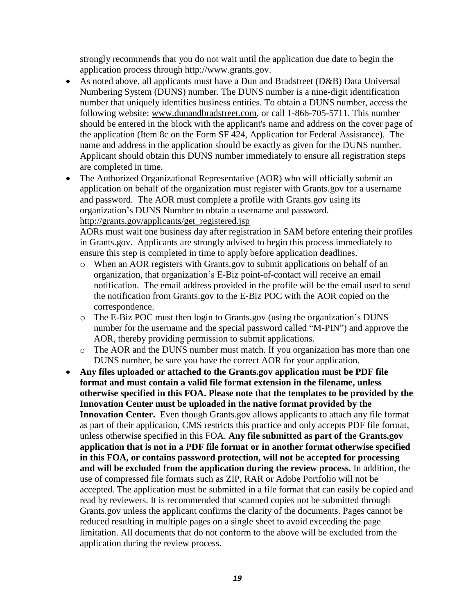strongly recommends that you do not wait until the application due date to begin the application process through [http://www.grants.gov.](http://www.grants.gov/)

- As noted above, all applicants must have a Dun and Bradstreet (D&B) Data Universal Numbering System (DUNS) number. The DUNS number is a nine-digit identification number that uniquely identifies business entities. To obtain a DUNS number, access the following website: [www.dunandbradstreet.com,](http://www.dunandbradstreet.com/) or call 1-866-705-5711. This number should be entered in the block with the applicant's name and address on the cover page of the application (Item 8c on the Form SF 424, Application for Federal Assistance). The name and address in the application should be exactly as given for the DUNS number. Applicant should obtain this DUNS number immediately to ensure all registration steps are completed in time.
- The Authorized Organizational Representative (AOR) who will officially submit an application on behalf of the organization must register with Grants.gov for a username and password. The AOR must complete a profile with Grants.gov using its organization's DUNS Number to obtain a username and password. [http://grants.gov/applicants/get\\_registered.jsp](http://grants.gov/applicants/get_registered.jsp)

AORs must wait one business day after registration in SAM before entering their profiles in Grants.gov. Applicants are strongly advised to begin this process immediately to ensure this step is completed in time to apply before application deadlines.

- o When an AOR registers with Grants.gov to submit applications on behalf of an organization, that organization's E-Biz point-of-contact will receive an email notification. The email address provided in the profile will be the email used to send the notification from Grants.gov to the E-Biz POC with the AOR copied on the correspondence.
- o The E-Biz POC must then login to Grants.gov (using the organization's DUNS number for the username and the special password called "M-PIN") and approve the AOR, thereby providing permission to submit applications.
- o The AOR and the DUNS number must match. If you organization has more than one DUNS number, be sure you have the correct AOR for your application.
- **Any files uploaded or attached to the Grants.gov application must be PDF file format and must contain a valid file format extension in the filename, unless otherwise specified in this FOA. Please note that the templates to be provided by the Innovation Center must be uploaded in the native format provided by the Innovation Center.** Even though Grants.gov allows applicants to attach any file format as part of their application, CMS restricts this practice and only accepts PDF file format, unless otherwise specified in this FOA. **Any file submitted as part of the Grants.gov application that is not in a PDF file format or in another format otherwise specified in this FOA, or contains password protection, will not be accepted for processing and will be excluded from the application during the review process.** In addition, the use of compressed file formats such as ZIP, RAR or Adobe Portfolio will not be accepted. The application must be submitted in a file format that can easily be copied and read by reviewers. It is recommended that scanned copies not be submitted through Grants.gov unless the applicant confirms the clarity of the documents. Pages cannot be reduced resulting in multiple pages on a single sheet to avoid exceeding the page limitation. All documents that do not conform to the above will be excluded from the application during the review process.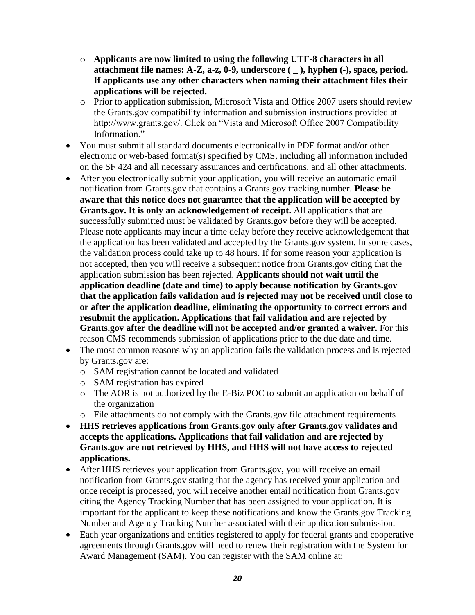- o **Applicants are now limited to using the following UTF-8 characters in all attachment file names: A-Z, a-z, 0-9, underscore ( \_ ), hyphen (-), space, period. If applicants use any other characters when naming their attachment files their applications will be rejected.**
- o Prior to application submission, Microsoft Vista and Office 2007 users should review the Grants.gov compatibility information and submission instructions provided at http://www.grants.gov/. Click on "Vista and Microsoft Office 2007 Compatibility Information"
- You must submit all standard documents electronically in PDF format and/or other electronic or web-based format(s) specified by CMS, including all information included on the SF 424 and all necessary assurances and certifications, and all other attachments.
- After you electronically submit your application, you will receive an automatic email notification from Grants.gov that contains a Grants.gov tracking number. **Please be aware that this notice does not guarantee that the application will be accepted by Grants.gov. It is only an acknowledgement of receipt.** All applications that are successfully submitted must be validated by Grants.gov before they will be accepted. Please note applicants may incur a time delay before they receive acknowledgement that the application has been validated and accepted by the Grants.gov system. In some cases, the validation process could take up to 48 hours. If for some reason your application is not accepted, then you will receive a subsequent notice from Grants.gov citing that the application submission has been rejected. **Applicants should not wait until the application deadline (date and time) to apply because notification by Grants.gov that the application fails validation and is rejected may not be received until close to or after the application deadline, eliminating the opportunity to correct errors and resubmit the application. Applications that fail validation and are rejected by Grants.gov after the deadline will not be accepted and/or granted a waiver.** For this reason CMS recommends submission of applications prior to the due date and time.
- The most common reasons why an application fails the validation process and is rejected by Grants.gov are:
	- o SAM registration cannot be located and validated
	- o SAM registration has expired
	- o The AOR is not authorized by the E-Biz POC to submit an application on behalf of the organization
	- o File attachments do not comply with the Grants.gov file attachment requirements
- **HHS retrieves applications from Grants.gov only after Grants.gov validates and accepts the applications. Applications that fail validation and are rejected by Grants.gov are not retrieved by HHS, and HHS will not have access to rejected applications.**
- After HHS retrieves your application from Grants.gov, you will receive an email notification from Grants.gov stating that the agency has received your application and once receipt is processed, you will receive another email notification from Grants.gov citing the Agency Tracking Number that has been assigned to your application. It is important for the applicant to keep these notifications and know the Grants.gov Tracking Number and Agency Tracking Number associated with their application submission.
- Each year organizations and entities registered to apply for federal grants and cooperative agreements through Grants.gov will need to renew their registration with the System for Award Management (SAM). You can register with the SAM online at;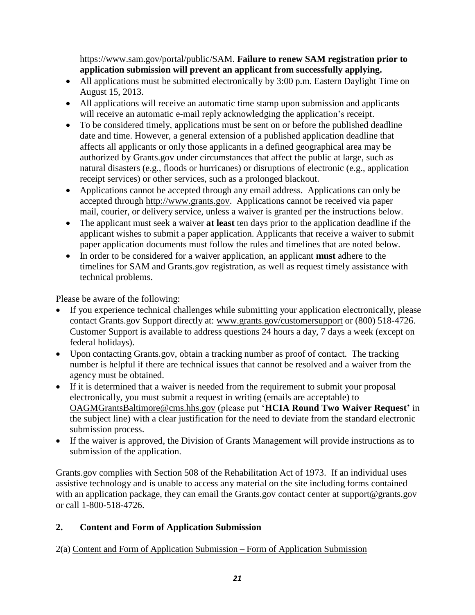https://www.sam.gov/portal/public/SAM. **Failure to renew SAM registration prior to application submission will prevent an applicant from successfully applying.** 

- All applications must be submitted electronically by 3:00 p.m. Eastern Daylight Time on August 15, 2013.
- All applications will receive an automatic time stamp upon submission and applicants will receive an automatic e-mail reply acknowledging the application's receipt.
- To be considered timely, applications must be sent on or before the published deadline date and time. However, a general extension of a published application deadline that affects all applicants or only those applicants in a defined geographical area may be authorized by Grants.gov under circumstances that affect the public at large, such as natural disasters (e.g., floods or hurricanes) or disruptions of electronic (e.g., application receipt services) or other services, such as a prolonged blackout.
- Applications cannot be accepted through any email address. Applications can only be accepted through [http://www.grants.gov.](http://www.grants.gov/) Applications cannot be received via paper mail, courier, or delivery service, unless a waiver is granted per the instructions below.
- The applicant must seek a waiver **at least** ten days prior to the application deadline if the applicant wishes to submit a paper application. Applicants that receive a waiver to submit paper application documents must follow the rules and timelines that are noted below.
- In order to be considered for a waiver application, an applicant **must** adhere to the timelines for SAM and Grants.gov registration, as well as request timely assistance with technical problems.

Please be aware of the following:

- If you experience technical challenges while submitting your application electronically, please contact Grants.gov Support directly at: [www.grants.gov/customersupport](http://www.grants.gov/customersupport) or (800) 518-4726. Customer Support is available to address questions 24 hours a day, 7 days a week (except on federal holidays).
- Upon contacting Grants.gov, obtain a tracking number as proof of contact. The tracking number is helpful if there are technical issues that cannot be resolved and a waiver from the agency must be obtained.
- If it is determined that a waiver is needed from the requirement to submit your proposal electronically, you must submit a request in writing (emails are acceptable) to [OAGMGrantsBaltimore@cms.hhs.gov](mailto:Mary.Greene@cms.hhs.gov) (please put '**HCIA Round Two Waiver Request'** in the subject line) with a clear justification for the need to deviate from the standard electronic submission process.
- If the waiver is approved, the Division of Grants Management will provide instructions as to submission of the application.

Grants.gov complies with Section 508 of the Rehabilitation Act of 1973. If an individual uses assistive technology and is unable to access any material on the site including forms contained with an application package, they can email the Grants.gov contact center [at support@grants.gov](mailto:support@grants.gov) or call 1-800-518-4726.

## <span id="page-20-0"></span>**2. Content and Form of Application Submission**

<span id="page-20-1"></span>2(a) Content and Form of Application Submission – Form of Application Submission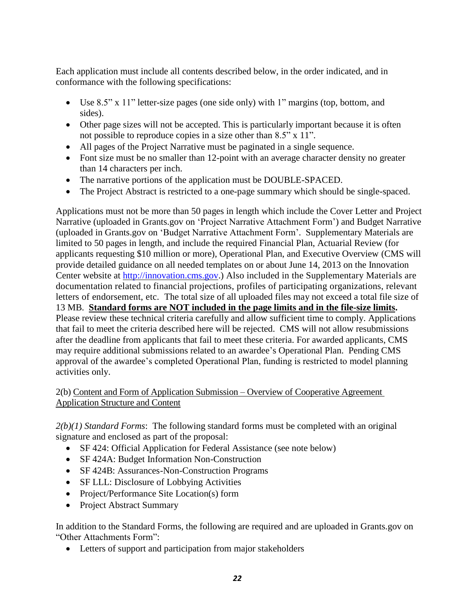Each application must include all contents described below, in the order indicated, and in conformance with the following specifications:

- Use 8.5" x 11" letter-size pages (one side only) with 1" margins (top, bottom, and sides).
- Other page sizes will not be accepted. This is particularly important because it is often not possible to reproduce copies in a size other than 8.5" x 11".
- All pages of the Project Narrative must be paginated in a single sequence.
- Font size must be no smaller than 12-point with an average character density no greater than 14 characters per inch.
- The narrative portions of the application must be DOUBLE-SPACED.
- The Project Abstract is restricted to a one-page summary which should be single-spaced.

Applications must not be more than 50 pages in length which include the Cover Letter and Project Narrative (uploaded in Grants.gov on 'Project Narrative Attachment Form') and Budget Narrative (uploaded in Grants.gov on 'Budget Narrative Attachment Form'. Supplementary Materials are limited to 50 pages in length, and include the required Financial Plan, Actuarial Review (for applicants requesting \$10 million or more), Operational Plan, and Executive Overview (CMS will provide detailed guidance on all needed templates on or about June 14, 2013 on the Innovation Center website at [http://innovation.cms.gov.\)](http://innovation.cms.gov./) Also included in the Supplementary Materials are documentation related to financial projections, profiles of participating organizations, relevant letters of endorsement, etc. The total size of all uploaded files may not exceed a total file size of 13 MB. **Standard forms are NOT included in the page limits and in the file-size limits.** Please review these technical criteria carefully and allow sufficient time to comply. Applications that fail to meet the criteria described here will be rejected. CMS will not allow resubmissions after the deadline from applicants that fail to meet these criteria. For awarded applicants, CMS may require additional submissions related to an awardee's Operational Plan. Pending CMS approval of the awardee's completed Operational Plan, funding is restricted to model planning activities only.

<span id="page-21-0"></span>2(b) Content and Form of Application Submission – Overview of Cooperative Agreement Application Structure and Content

*2(b)(1) Standard Forms*: The following standard forms must be completed with an original signature and enclosed as part of the proposal:

- SF 424: Official Application for Federal Assistance (see note below)
- SF 424A: Budget Information Non-Construction
- SF 424B: Assurances-Non-Construction Programs
- SF LLL: Disclosure of Lobbying Activities
- Project/Performance Site Location(s) form
- Project Abstract Summary

In addition to the Standard Forms, the following are required and are uploaded in Grants.gov on "Other Attachments Form":

• Letters of support and participation from major stakeholders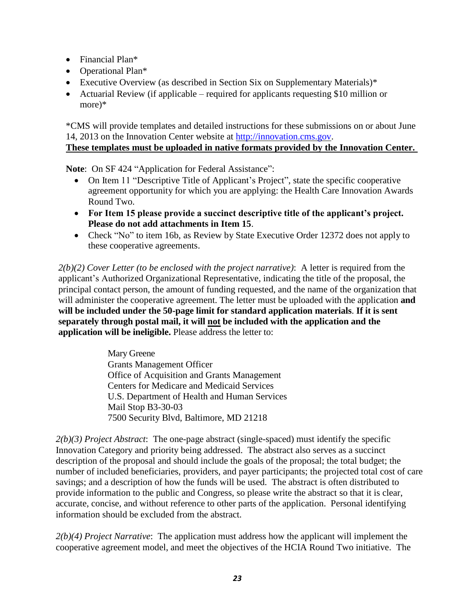- Financial Plan<sup>\*</sup>
- Operational Plan\*
- Executive Overview (as described in Section Six on Supplementary Materials)\*
- Actuarial Review (if applicable required for applicants requesting \$10 million or more)\*

\*CMS will provide templates and detailed instructions for these submissions on or about June 14, 2013 on the Innovation Center website at [http://innovation.cms.gov.](http://innovation.cms.gov./) 

## **These templates must be uploaded in native formats provided by the Innovation Center.**

Note: On SF 424 "Application for Federal Assistance":

- On Item 11 "Descriptive Title of Applicant's Project", state the specific cooperative agreement opportunity for which you are applying: the Health Care Innovation Awards Round Two.
- **For Item 15 please provide a succinct descriptive title of the applicant's project. Please do not add attachments in Item 15**.
- Check "No" to item 16b, as Review by State Executive Order 12372 does not apply to these cooperative agreements.

*2(b)(2) Cover Letter (to be enclosed with the project narrative)*: A letter is required from the applicant's Authorized Organizational Representative, indicating the title of the proposal, the principal contact person, the amount of funding requested, and the name of the organization that will administer the cooperative agreement. The letter must be uploaded with the application **and will be included under the 50-page limit for standard application materials**. **If it is sent separately through postal mail, it will not be included with the application and the application will be ineligible.** Please address the letter to:

> Mary Greene Grants Management Officer Office of Acquisition and Grants Management Centers for Medicare and Medicaid Services U.S. Department of Health and Human Services Mail Stop B3-30-03 7500 Security Blvd, Baltimore, MD 21218

*2(b)(3) Project Abstract*: The one-page abstract (single-spaced) must identify the specific Innovation Category and priority being addressed. The abstract also serves as a succinct description of the proposal and should include the goals of the proposal; the total budget; the number of included beneficiaries, providers, and payer participants; the projected total cost of care savings; and a description of how the funds will be used. The abstract is often distributed to provide information to the public and Congress, so please write the abstract so that it is clear, accurate, concise, and without reference to other parts of the application. Personal identifying information should be excluded from the abstract.

*2(b)(4) Project Narrative*: The application must address how the applicant will implement the cooperative agreement model, and meet the objectives of the HCIA Round Two initiative. The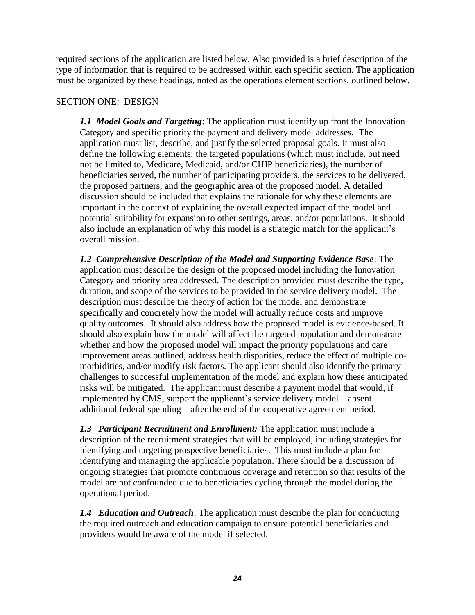required sections of the application are listed below. Also provided is a brief description of the type of information that is required to be addressed within each specific section. The application must be organized by these headings, noted as the operations element sections, outlined below.

#### SECTION ONE: DESIGN

*1.1 Model Goals and Targeting*: The application must identify up front the Innovation Category and specific priority the payment and delivery model addresses. The application must list, describe, and justify the selected proposal goals. It must also define the following elements: the targeted populations (which must include, but need not be limited to, Medicare, Medicaid, and/or CHIP beneficiaries), the number of beneficiaries served, the number of participating providers, the services to be delivered, the proposed partners, and the geographic area of the proposed model. A detailed discussion should be included that explains the rationale for why these elements are important in the context of explaining the overall expected impact of the model and potential suitability for expansion to other settings, areas, and/or populations. It should also include an explanation of why this model is a strategic match for the applicant's overall mission.

*1.2 Comprehensive Description of the Model and Supporting Evidence Base*: The application must describe the design of the proposed model including the Innovation Category and priority area addressed. The description provided must describe the type, duration, and scope of the services to be provided in the service delivery model. The description must describe the theory of action for the model and demonstrate specifically and concretely how the model will actually reduce costs and improve quality outcomes. It should also address how the proposed model is evidence-based. It should also explain how the model will affect the targeted population and demonstrate whether and how the proposed model will impact the priority populations and care improvement areas outlined, address health disparities, reduce the effect of multiple comorbidities, and/or modify risk factors. The applicant should also identify the primary challenges to successful implementation of the model and explain how these anticipated risks will be mitigated. The applicant must describe a payment model that would, if implemented by CMS, support the applicant's service delivery model – absent additional federal spending – after the end of the cooperative agreement period.

*1.3 Participant Recruitment and Enrollment:* The application must include a description of the recruitment strategies that will be employed, including strategies for identifying and targeting prospective beneficiaries. This must include a plan for identifying and managing the applicable population. There should be a discussion of ongoing strategies that promote continuous coverage and retention so that results of the model are not confounded due to beneficiaries cycling through the model during the operational period.

*1.4 Education and Outreach*: The application must describe the plan for conducting the required outreach and education campaign to ensure potential beneficiaries and providers would be aware of the model if selected.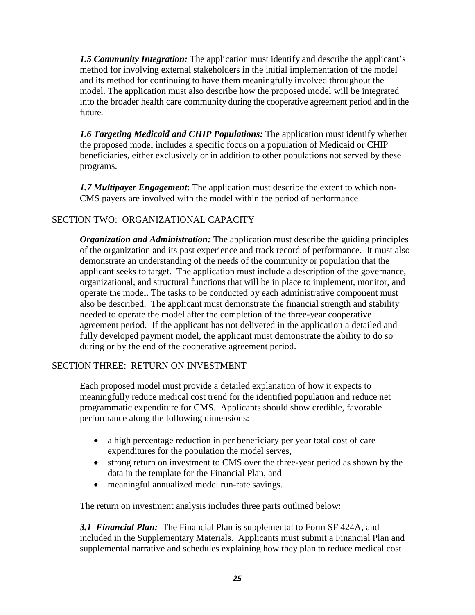*1.5 Community Integration:* The application must identify and describe the applicant's method for involving external stakeholders in the initial implementation of the model and its method for continuing to have them meaningfully involved throughout the model. The application must also describe how the proposed model will be integrated into the broader health care community during the cooperative agreement period and in the future.

*1.6 Targeting Medicaid and CHIP Populations:* The application must identify whether the proposed model includes a specific focus on a population of Medicaid or CHIP beneficiaries, either exclusively or in addition to other populations not served by these programs.

*1.7 Multipayer Engagement*: The application must describe the extent to which non-CMS payers are involved with the model within the period of performance

## SECTION TWO: ORGANIZATIONAL CAPACITY

*Organization and Administration:* The application must describe the guiding principles of the organization and its past experience and track record of performance. It must also demonstrate an understanding of the needs of the community or population that the applicant seeks to target. The application must include a description of the governance, organizational, and structural functions that will be in place to implement, monitor, and operate the model. The tasks to be conducted by each administrative component must also be described. The applicant must demonstrate the financial strength and stability needed to operate the model after the completion of the three-year cooperative agreement period. If the applicant has not delivered in the application a detailed and fully developed payment model, the applicant must demonstrate the ability to do so during or by the end of the cooperative agreement period.

## SECTION THREE: RETURN ON INVESTMENT

Each proposed model must provide a detailed explanation of how it expects to meaningfully reduce medical cost trend for the identified population and reduce net programmatic expenditure for CMS. Applicants should show credible, favorable performance along the following dimensions:

- a high percentage reduction in per beneficiary per year total cost of care expenditures for the population the model serves,
- strong return on investment to CMS over the three-year period as shown by the data in the template for the Financial Plan, and
- meaningful annualized model run-rate savings.

The return on investment analysis includes three parts outlined below:

*3.1 Financial Plan:* The Financial Plan is supplemental to Form SF 424A, and included in the Supplementary Materials. Applicants must submit a Financial Plan and supplemental narrative and schedules explaining how they plan to reduce medical cost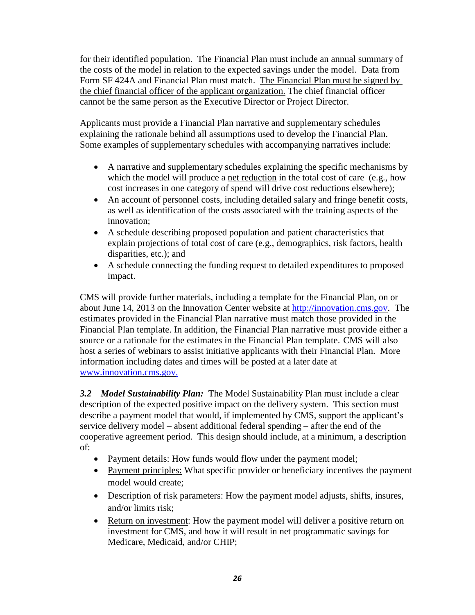for their identified population. The Financial Plan must include an annual summary of the costs of the model in relation to the expected savings under the model. Data from Form SF 424A and Financial Plan must match. The Financial Plan must be signed by the chief financial officer of the applicant organization. The chief financial officer cannot be the same person as the Executive Director or Project Director.

Applicants must provide a Financial Plan narrative and supplementary schedules explaining the rationale behind all assumptions used to develop the Financial Plan. Some examples of supplementary schedules with accompanying narratives include:

- A narrative and supplementary schedules explaining the specific mechanisms by which the model will produce a net reduction in the total cost of care (e.g., how cost increases in one category of spend will drive cost reductions elsewhere);
- An account of personnel costs, including detailed salary and fringe benefit costs, as well as identification of the costs associated with the training aspects of the innovation;
- A schedule describing proposed population and patient characteristics that explain projections of total cost of care (e.g., demographics, risk factors, health disparities, etc.); and
- A schedule connecting the funding request to detailed expenditures to proposed impact.

CMS will provide further materials, including a template for the Financial Plan, on or about June 14, 2013 on the Innovation Center website at [http://innovation.cms.gov.](http://innovation.cms.gov./) The estimates provided in the Financial Plan narrative must match those provided in the Financial Plan template. In addition, the Financial Plan narrative must provide either a source or a rationale for the estimates in the Financial Plan template. CMS will also host a series of webinars to assist initiative applicants with their Financial Plan. More information including dates and times will be posted at a later date at [www.innovation.cms.gov.](http://www.innovation.cms.gov./)

*3.2 Model Sustainability Plan:* The Model Sustainability Plan must include a clear description of the expected positive impact on the delivery system. This section must describe a payment model that would, if implemented by CMS, support the applicant's service delivery model – absent additional federal spending – after the end of the cooperative agreement period. This design should include, at a minimum, a description of:

- Payment details: How funds would flow under the payment model;
- Payment principles: What specific provider or beneficiary incentives the payment model would create;
- Description of risk parameters: How the payment model adjusts, shifts, insures, and/or limits risk;
- Return on investment: How the payment model will deliver a positive return on investment for CMS, and how it will result in net programmatic savings for Medicare, Medicaid, and/or CHIP;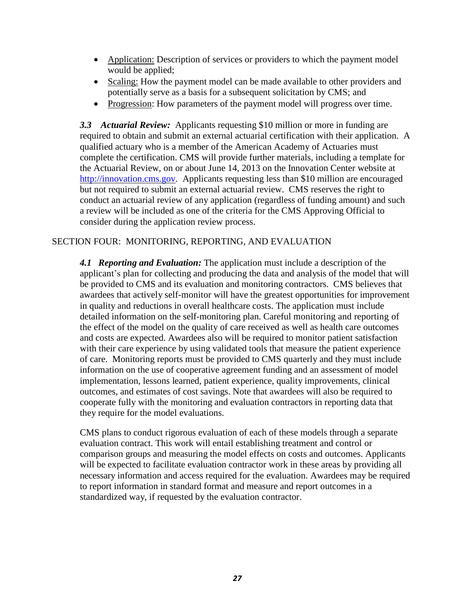- Application: Description of services or providers to which the payment model would be applied;
- Scaling: How the payment model can be made available to other providers and potentially serve as a basis for a subsequent solicitation by CMS; and
- Progression: How parameters of the payment model will progress over time.

*3.3 Actuarial Review:* Applicants requesting \$10 million or more in funding are required to obtain and submit an external actuarial certification with their application. A qualified actuary who is a member of the American Academy of Actuaries must complete the certification. CMS will provide further materials, including a template for the Actuarial Review, on or about June 14, 2013 on the Innovation Center website at [http://innovation.cms.gov.](http://innovation.cms.gov./) Applicants requesting less than \$10 million are encouraged but not required to submit an external actuarial review. CMS reserves the right to conduct an actuarial review of any application (regardless of funding amount) and such a review will be included as one of the criteria for the CMS Approving Official to consider during the application review process.

#### SECTION FOUR: MONITORING, REPORTING, AND EVALUATION

*4.1 Reporting and Evaluation:* The application must include a description of the applicant's plan for collecting and producing the data and analysis of the model that will be provided to CMS and its evaluation and monitoring contractors. CMS believes that awardees that actively self-monitor will have the greatest opportunities for improvement in quality and reductions in overall healthcare costs. The application must include detailed information on the self-monitoring plan. Careful monitoring and reporting of the effect of the model on the quality of care received as well as health care outcomes and costs are expected. Awardees also will be required to monitor patient satisfaction with their care experience by using validated tools that measure the patient experience of care. Monitoring reports must be provided to CMS quarterly and they must include information on the use of cooperative agreement funding and an assessment of model implementation, lessons learned, patient experience, quality improvements, clinical outcomes, and estimates of cost savings. Note that awardees will also be required to cooperate fully with the monitoring and evaluation contractors in reporting data that they require for the model evaluations.

CMS plans to conduct rigorous evaluation of each of these models through a separate evaluation contract. This work will entail establishing treatment and control or comparison groups and measuring the model effects on costs and outcomes. Applicants will be expected to facilitate evaluation contractor work in these areas by providing all necessary information and access required for the evaluation. Awardees may be required to report information in standard format and measure and report outcomes in a standardized way, if requested by the evaluation contractor.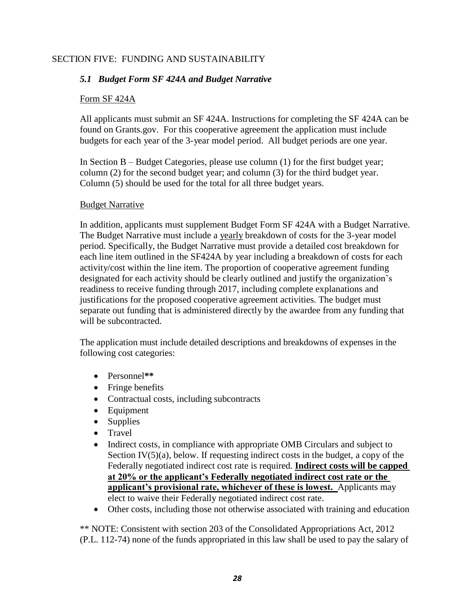## SECTION FIVE: FUNDING AND SUSTAINABILITY

## *5.1 Budget Form SF 424A and Budget Narrative*

#### Form SF 424A

All applicants must submit an SF 424A. Instructions for completing the SF 424A can be found on Grants.gov. For this cooperative agreement the application must include budgets for each year of the 3-year model period. All budget periods are one year.

In Section B – Budget Categories, please use column (1) for the first budget year; column (2) for the second budget year; and column (3) for the third budget year. Column (5) should be used for the total for all three budget years.

#### Budget Narrative

In addition, applicants must supplement Budget Form SF 424A with a Budget Narrative. The Budget Narrative must include a yearly breakdown of costs for the 3-year model period. Specifically, the Budget Narrative must provide a detailed cost breakdown for each line item outlined in the SF424A by year including a breakdown of costs for each activity/cost within the line item. The proportion of cooperative agreement funding designated for each activity should be clearly outlined and justify the organization's readiness to receive funding through 2017, including complete explanations and justifications for the proposed cooperative agreement activities. The budget must separate out funding that is administered directly by the awardee from any funding that will be subcontracted.

The application must include detailed descriptions and breakdowns of expenses in the following cost categories:

- Personnel**\*\***
- Fringe benefits
- Contractual costs, including subcontracts
- Equipment
- Supplies
- Travel
- Indirect costs, in compliance with appropriate OMB Circulars and subject to Section  $IV(5)(a)$ , below. If requesting indirect costs in the budget, a copy of the Federally negotiated indirect cost rate is required. **Indirect costs will be capped at 20% or the applicant's Federally negotiated indirect cost rate or the applicant's provisional rate, whichever of these is lowest.** Applicants may elect to waive their Federally negotiated indirect cost rate.
- Other costs, including those not otherwise associated with training and education

\*\* NOTE: Consistent with section 203 of the Consolidated Appropriations Act, 2012 (P.L. 112-74) none of the funds appropriated in this law shall be used to pay the salary of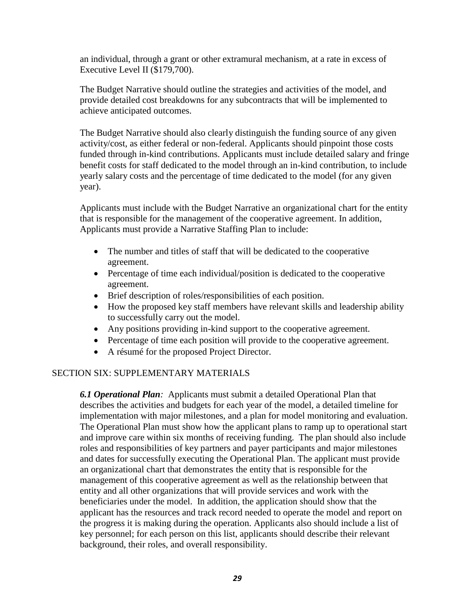an individual, through a grant or other extramural mechanism, at a rate in excess of Executive Level II (\$179,700).

The Budget Narrative should outline the strategies and activities of the model, and provide detailed cost breakdowns for any subcontracts that will be implemented to achieve anticipated outcomes.

The Budget Narrative should also clearly distinguish the funding source of any given activity/cost, as either federal or non-federal. Applicants should pinpoint those costs funded through in-kind contributions. Applicants must include detailed salary and fringe benefit costs for staff dedicated to the model through an in-kind contribution, to include yearly salary costs and the percentage of time dedicated to the model (for any given year).

Applicants must include with the Budget Narrative an organizational chart for the entity that is responsible for the management of the cooperative agreement. In addition, Applicants must provide a Narrative Staffing Plan to include:

- The number and titles of staff that will be dedicated to the cooperative agreement.
- Percentage of time each individual/position is dedicated to the cooperative agreement.
- Brief description of roles/responsibilities of each position.
- How the proposed key staff members have relevant skills and leadership ability to successfully carry out the model.
- Any positions providing in-kind support to the cooperative agreement.
- Percentage of time each position will provide to the cooperative agreement.
- A résumé for the proposed Project Director.

#### SECTION SIX: SUPPLEMENTARY MATERIALS

*6.1 Operational Plan:* Applicants must submit a detailed Operational Plan that describes the activities and budgets for each year of the model, a detailed timeline for implementation with major milestones, and a plan for model monitoring and evaluation. The Operational Plan must show how the applicant plans to ramp up to operational start and improve care within six months of receiving funding. The plan should also include roles and responsibilities of key partners and payer participants and major milestones and dates for successfully executing the Operational Plan. The applicant must provide an organizational chart that demonstrates the entity that is responsible for the management of this cooperative agreement as well as the relationship between that entity and all other organizations that will provide services and work with the beneficiaries under the model. In addition, the application should show that the applicant has the resources and track record needed to operate the model and report on the progress it is making during the operation. Applicants also should include a list of key personnel; for each person on this list, applicants should describe their relevant background, their roles, and overall responsibility.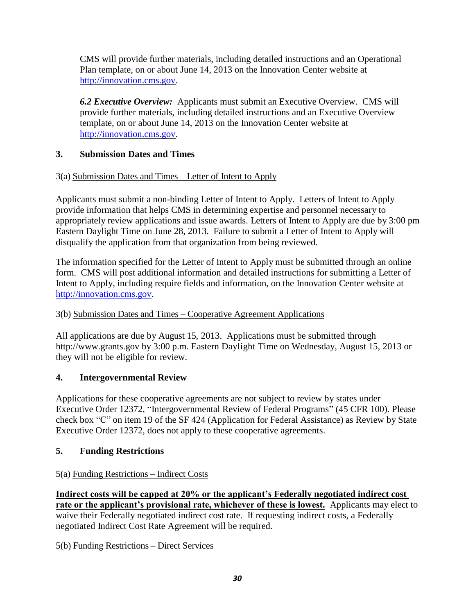CMS will provide further materials, including detailed instructions and an Operational Plan template, on or about June 14, 2013 on the Innovation Center website at [http://innovation.cms.gov.](http://innovation.cms.gov./)

*6.2 Executive Overview:* Applicants must submit an Executive Overview. CMS will provide further materials, including detailed instructions and an Executive Overview template, on or about June 14, 2013 on the Innovation Center website at [http://innovation.cms.gov.](http://innovation.cms.gov./)

## <span id="page-29-0"></span>**3. Submission Dates and Times**

## <span id="page-29-1"></span>3(a) Submission Dates and Times – Letter of Intent to Apply

Applicants must submit a non-binding Letter of Intent to Apply. Letters of Intent to Apply provide information that helps CMS in determining expertise and personnel necessary to appropriately review applications and issue awards. Letters of Intent to Apply are due by 3:00 pm Eastern Daylight Time on June 28, 2013. Failure to submit a Letter of Intent to Apply will disqualify the application from that organization from being reviewed.

The information specified for the Letter of Intent to Apply must be submitted through an online form. CMS will post additional information and detailed instructions for submitting a Letter of Intent to Apply, including require fields and information, on the Innovation Center website at [http://innovation.cms.gov.](http://innovation.cms.gov/)

## <span id="page-29-2"></span>3(b) Submission Dates and Times – Cooperative Agreement Applications

All applications are due by August 15, 2013. Applications must be submitted throug[h](http://www.grants.gov/) [http://www.grants.go](http://www.grants.gov/)v by 3:00 p.m. Eastern Daylight Time on Wednesday, August 15, 2013 or they will not be eligible for review.

## <span id="page-29-3"></span>**4. Intergovernmental Review**

Applications for these cooperative agreements are not subject to review by states under Executive Order 12372, "Intergovernmental Review of Federal Programs" (45 CFR 100). Please check box "C" on item 19 of the SF 424 (Application for Federal Assistance) as Review by State Executive Order 12372, does not apply to these cooperative agreements.

## <span id="page-29-4"></span>**5. Funding Restrictions**

## <span id="page-29-5"></span>5(a) Funding Restrictions – Indirect Costs

**Indirect costs will be capped at 20% or the applicant's Federally negotiated indirect cost rate or the applicant's provisional rate, whichever of these is lowest.** Applicants may elect to waive their Federally negotiated indirect cost rate. If requesting indirect costs, a Federally negotiated Indirect Cost Rate Agreement will be required.

## <span id="page-29-6"></span>5(b) Funding Restrictions – Direct Services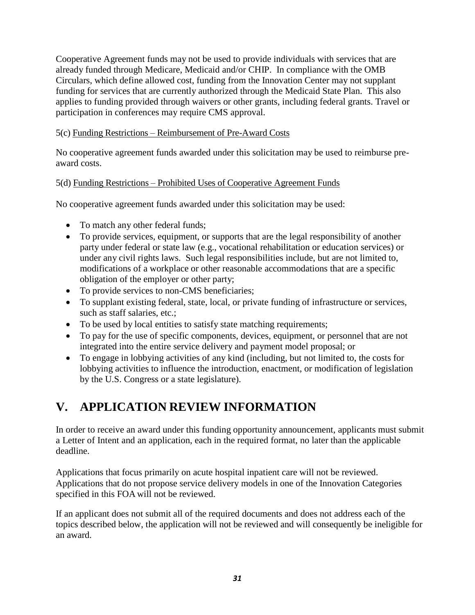Cooperative Agreement funds may not be used to provide individuals with services that are already funded through Medicare, Medicaid and/or CHIP. In compliance with the OMB Circulars, which define allowed cost, funding from the Innovation Center may not supplant funding for services that are currently authorized through the Medicaid State Plan. This also applies to funding provided through waivers or other grants, including federal grants. Travel or participation in conferences may require CMS approval.

#### <span id="page-30-0"></span>5(c) Funding Restrictions – Reimbursement of Pre-Award Costs

No cooperative agreement funds awarded under this solicitation may be used to reimburse preaward costs.

#### <span id="page-30-1"></span>5(d) Funding Restrictions – Prohibited Uses of Cooperative Agreement Funds

No cooperative agreement funds awarded under this solicitation may be used:

- To match any other federal funds;
- To provide services, equipment, or supports that are the legal responsibility of another party under federal or state law (e.g., vocational rehabilitation or education services) or under any civil rights laws. Such legal responsibilities include, but are not limited to, modifications of a workplace or other reasonable accommodations that are a specific obligation of the employer or other party;
- To provide services to non-CMS beneficiaries;
- To supplant existing federal, state, local, or private funding of infrastructure or services, such as staff salaries, etc.;
- To be used by local entities to satisfy state matching requirements;
- To pay for the use of specific components, devices, equipment, or personnel that are not integrated into the entire service delivery and payment model proposal; or
- To engage in lobbying activities of any kind (including, but not limited to, the costs for lobbying activities to influence the introduction, enactment, or modification of legislation by the U.S. Congress or a state legislature).

## <span id="page-30-2"></span>**V. APPLICATION REVIEW INFORMATION**

In order to receive an award under this funding opportunity announcement, applicants must submit a Letter of Intent and an application, each in the required format, no later than the applicable deadline.

Applications that focus primarily on acute hospital inpatient care will not be reviewed. Applications that do not propose service delivery models in one of the Innovation Categories specified in this FOA will not be reviewed.

If an applicant does not submit all of the required documents and does not address each of the topics described below, the application will not be reviewed and will consequently be ineligible for an award.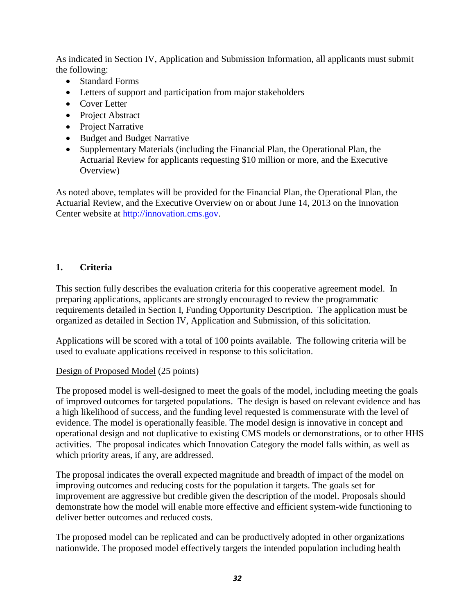As indicated in Section IV, Application and Submission Information, all applicants must submit the following:

- Standard Forms
- Letters of support and participation from major stakeholders
- Cover Letter
- Project Abstract
- Project Narrative
- Budget and Budget Narrative
- Supplementary Materials (including the Financial Plan, the Operational Plan, the Actuarial Review for applicants requesting \$10 million or more, and the Executive Overview)

As noted above, templates will be provided for the Financial Plan, the Operational Plan, the Actuarial Review, and the Executive Overview on or about June 14, 2013 on the Innovation Center website at [http://innovation.cms.gov.](http://innovation.cms.gov./)

## <span id="page-31-0"></span>**1. Criteria**

This section fully describes the evaluation criteria for this cooperative agreement model. In preparing applications, applicants are strongly encouraged to review the programmatic requirements detailed in Section I, Funding Opportunity Description. The application must be organized as detailed in Section IV, Application and Submission, of this solicitation.

Applications will be scored with a total of 100 points available. The following criteria will be used to evaluate applications received in response to this solicitation.

#### Design of Proposed Model (25 points)

The proposed model is well-designed to meet the goals of the model, including meeting the goals of improved outcomes for targeted populations. The design is based on relevant evidence and has a high likelihood of success, and the funding level requested is commensurate with the level of evidence. The model is operationally feasible. The model design is innovative in concept and operational design and not duplicative to existing CMS models or demonstrations, or to other HHS activities. The proposal indicates which Innovation Category the model falls within, as well as which priority areas, if any, are addressed.

The proposal indicates the overall expected magnitude and breadth of impact of the model on improving outcomes and reducing costs for the population it targets. The goals set for improvement are aggressive but credible given the description of the model. Proposals should demonstrate how the model will enable more effective and efficient system-wide functioning to deliver better outcomes and reduced costs.

The proposed model can be replicated and can be productively adopted in other organizations nationwide. The proposed model effectively targets the intended population including health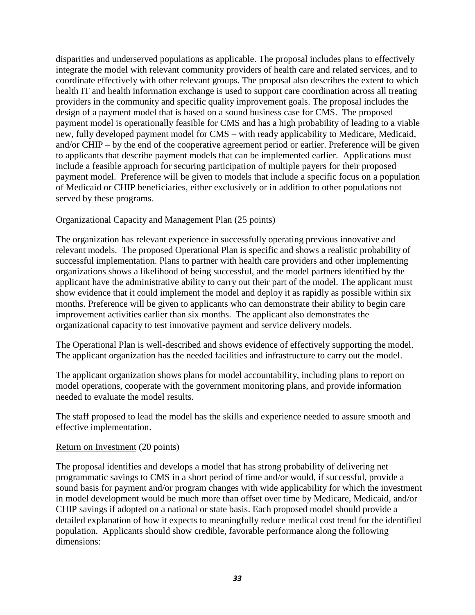disparities and underserved populations as applicable. The proposal includes plans to effectively integrate the model with relevant community providers of health care and related services, and to coordinate effectively with other relevant groups. The proposal also describes the extent to which health IT and health information exchange is used to support care coordination across all treating providers in the community and specific quality improvement goals. The proposal includes the design of a payment model that is based on a sound business case for CMS. The proposed payment model is operationally feasible for CMS and has a high probability of leading to a viable new, fully developed payment model for CMS – with ready applicability to Medicare, Medicaid, and/or CHIP – by the end of the cooperative agreement period or earlier. Preference will be given to applicants that describe payment models that can be implemented earlier. Applications must include a feasible approach for securing participation of multiple payers for their proposed payment model. Preference will be given to models that include a specific focus on a population of Medicaid or CHIP beneficiaries, either exclusively or in addition to other populations not served by these programs.

#### Organizational Capacity and Management Plan (25 points)

The organization has relevant experience in successfully operating previous innovative and relevant models. The proposed Operational Plan is specific and shows a realistic probability of successful implementation. Plans to partner with health care providers and other implementing organizations shows a likelihood of being successful, and the model partners identified by the applicant have the administrative ability to carry out their part of the model. The applicant must show evidence that it could implement the model and deploy it as rapidly as possible within six months. Preference will be given to applicants who can demonstrate their ability to begin care improvement activities earlier than six months. The applicant also demonstrates the organizational capacity to test innovative payment and service delivery models.

The Operational Plan is well-described and shows evidence of effectively supporting the model. The applicant organization has the needed facilities and infrastructure to carry out the model.

The applicant organization shows plans for model accountability, including plans to report on model operations, cooperate with the government monitoring plans, and provide information needed to evaluate the model results.

The staff proposed to lead the model has the skills and experience needed to assure smooth and effective implementation.

#### Return on Investment (20 points)

The proposal identifies and develops a model that has strong probability of delivering net programmatic savings to CMS in a short period of time and/or would, if successful, provide a sound basis for payment and/or program changes with wide applicability for which the investment in model development would be much more than offset over time by Medicare, Medicaid, and/or CHIP savings if adopted on a national or state basis. Each proposed model should provide a detailed explanation of how it expects to meaningfully reduce medical cost trend for the identified population. Applicants should show credible, favorable performance along the following dimensions: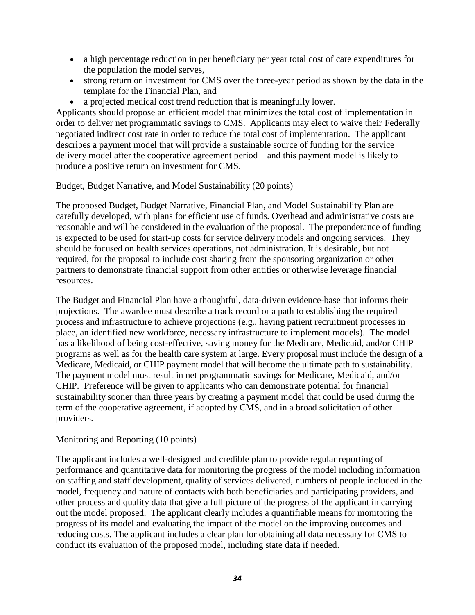- a high percentage reduction in per beneficiary per year total cost of care expenditures for the population the model serves,
- strong return on investment for CMS over the three-year period as shown by the data in the template for the Financial Plan, and
- a projected medical cost trend reduction that is meaningfully lower.

Applicants should propose an efficient model that minimizes the total cost of implementation in order to deliver net programmatic savings to CMS. Applicants may elect to waive their Federally negotiated indirect cost rate in order to reduce the total cost of implementation. The applicant describes a payment model that will provide a sustainable source of funding for the service delivery model after the cooperative agreement period – and this payment model is likely to produce a positive return on investment for CMS.

#### Budget, Budget Narrative, and Model Sustainability (20 points)

The proposed Budget, Budget Narrative, Financial Plan, and Model Sustainability Plan are carefully developed, with plans for efficient use of funds. Overhead and administrative costs are reasonable and will be considered in the evaluation of the proposal. The preponderance of funding is expected to be used for start-up costs for service delivery models and ongoing services. They should be focused on health services operations, not administration. It is desirable, but not required, for the proposal to include cost sharing from the sponsoring organization or other partners to demonstrate financial support from other entities or otherwise leverage financial resources.

The Budget and Financial Plan have a thoughtful, data-driven evidence-base that informs their projections. The awardee must describe a track record or a path to establishing the required process and infrastructure to achieve projections (e.g., having patient recruitment processes in place, an identified new workforce, necessary infrastructure to implement models). The model has a likelihood of being cost-effective, saving money for the Medicare, Medicaid, and/or CHIP programs as well as for the health care system at large. Every proposal must include the design of a Medicare, Medicaid, or CHIP payment model that will become the ultimate path to sustainability. The payment model must result in net programmatic savings for Medicare, Medicaid, and/or CHIP. Preference will be given to applicants who can demonstrate potential for financial sustainability sooner than three years by creating a payment model that could be used during the term of the cooperative agreement, if adopted by CMS, and in a broad solicitation of other providers.

#### Monitoring and Reporting (10 points)

The applicant includes a well-designed and credible plan to provide regular reporting of performance and quantitative data for monitoring the progress of the model including information on staffing and staff development, quality of services delivered, numbers of people included in the model, frequency and nature of contacts with both beneficiaries and participating providers, and other process and quality data that give a full picture of the progress of the applicant in carrying out the model proposed. The applicant clearly includes a quantifiable means for monitoring the progress of its model and evaluating the impact of the model on the improving outcomes and reducing costs. The applicant includes a clear plan for obtaining all data necessary for CMS to conduct its evaluation of the proposed model, including state data if needed.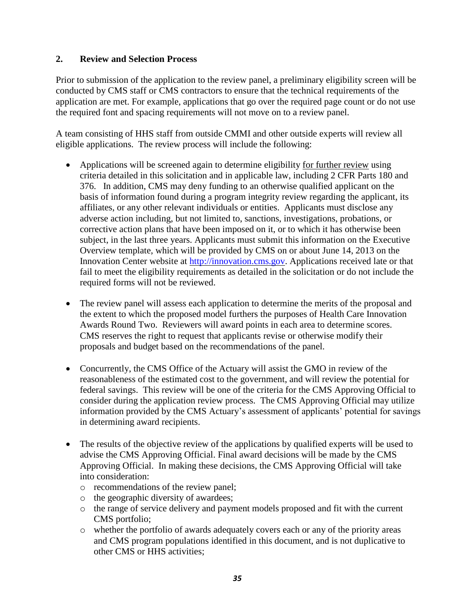## <span id="page-34-0"></span>**2. Review and Selection Process**

Prior to submission of the application to the review panel, a preliminary eligibility screen will be conducted by CMS staff or CMS contractors to ensure that the technical requirements of the application are met. For example, applications that go over the required page count or do not use the required font and spacing requirements will not move on to a review panel.

A team consisting of HHS staff from outside CMMI and other outside experts will review all eligible applications. The review process will include the following:

- Applications will be screened again to determine eligibility for further review using criteria detailed in this solicitation and in applicable law, including 2 CFR Parts 180 and 376. In addition, CMS may deny funding to an otherwise qualified applicant on the basis of information found during a program integrity review regarding the applicant, its affiliates, or any other relevant individuals or entities. Applicants must disclose any adverse action including, but not limited to, sanctions, investigations, probations, or corrective action plans that have been imposed on it, or to which it has otherwise been subject, in the last three years. Applicants must submit this information on the Executive Overview template, which will be provided by CMS on or about June 14, 2013 on the Innovation Center website at [http://innovation.cms.gov.](http://innovation.cms.gov./) Applications received late or that fail to meet the eligibility requirements as detailed in the solicitation or do not include the required forms will not be reviewed.
- The review panel will assess each application to determine the merits of the proposal and the extent to which the proposed model furthers the purposes of Health Care Innovation Awards Round Two. Reviewers will award points in each area to determine scores. CMS reserves the right to request that applicants revise or otherwise modify their proposals and budget based on the recommendations of the panel.
- Concurrently, the CMS Office of the Actuary will assist the GMO in review of the reasonableness of the estimated cost to the government, and will review the potential for federal savings. This review will be one of the criteria for the CMS Approving Official to consider during the application review process. The CMS Approving Official may utilize information provided by the CMS Actuary's assessment of applicants' potential for savings in determining award recipients.
- The results of the objective review of the applications by qualified experts will be used to advise the CMS Approving Official. Final award decisions will be made by the CMS Approving Official. In making these decisions, the CMS Approving Official will take into consideration:
	- o recommendations of the review panel;
	- o the geographic diversity of awardees;
	- o the range of service delivery and payment models proposed and fit with the current CMS portfolio;
	- o whether the portfolio of awards adequately covers each or any of the priority areas and CMS program populations identified in this document, and is not duplicative to other CMS or HHS activities;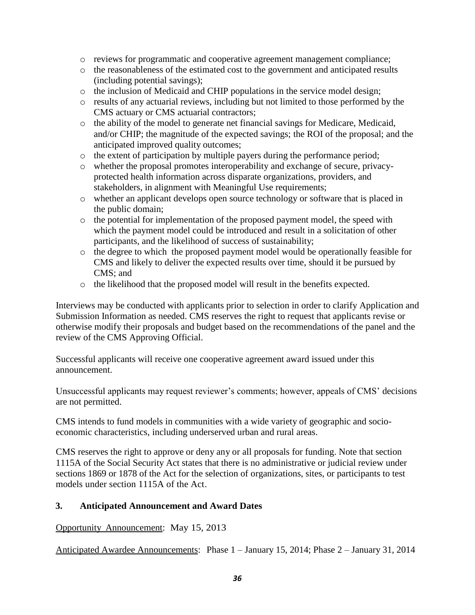- o reviews for programmatic and cooperative agreement management compliance;
- o the reasonableness of the estimated cost to the government and anticipated results (including potential savings);
- o the inclusion of Medicaid and CHIP populations in the service model design;
- o results of any actuarial reviews, including but not limited to those performed by the CMS actuary or CMS actuarial contractors;
- o the ability of the model to generate net financial savings for Medicare, Medicaid, and/or CHIP; the magnitude of the expected savings; the ROI of the proposal; and the anticipated improved quality outcomes;
- o the extent of participation by multiple payers during the performance period;
- o whether the proposal promotes interoperability and exchange of secure, privacyprotected health information across disparate organizations, providers, and stakeholders, in alignment with Meaningful Use requirements;
- o whether an applicant develops open source technology or software that is placed in the public domain;
- o the potential for implementation of the proposed payment model, the speed with which the payment model could be introduced and result in a solicitation of other participants, and the likelihood of success of sustainability;
- o the degree to which the proposed payment model would be operationally feasible for CMS and likely to deliver the expected results over time, should it be pursued by CMS; and
- o the likelihood that the proposed model will result in the benefits expected.

Interviews may be conducted with applicants prior to selection in order to clarify Application and Submission Information as needed. CMS reserves the right to request that applicants revise or otherwise modify their proposals and budget based on the recommendations of the panel and the review of the CMS Approving Official.

Successful applicants will receive one cooperative agreement award issued under this announcement.

Unsuccessful applicants may request reviewer's comments; however, appeals of CMS' decisions are not permitted.

CMS intends to fund models in communities with a wide variety of geographic and socioeconomic characteristics, including underserved urban and rural areas.

CMS reserves the right to approve or deny any or all proposals for funding. Note that section 1115A of the Social Security Act states that there is no administrative or judicial review under sections 1869 or 1878 of the Act for the selection of organizations, sites, or participants to test models under section 1115A of the Act.

## <span id="page-35-0"></span>**3. Anticipated Announcement and Award Dates**

Opportunity Announcement: May 15, 2013

Anticipated Awardee Announcements: Phase 1 – January 15, 2014; Phase 2 – January 31, 2014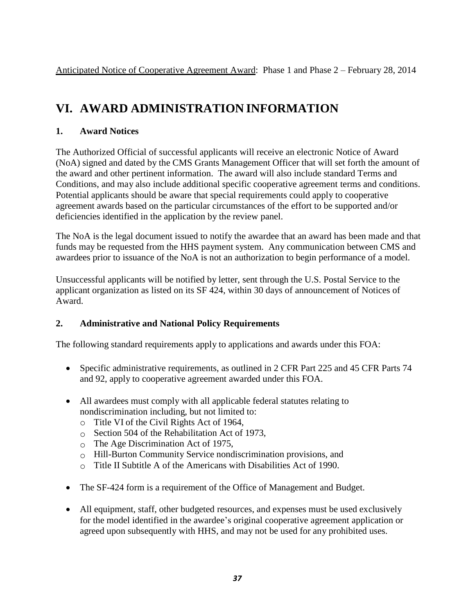Anticipated Notice of Cooperative Agreement Award:Phase 1 and Phase 2 – February 28, 2014

## <span id="page-36-0"></span>**VI. AWARD ADMINISTRATION INFORMATION**

## <span id="page-36-1"></span>**1. Award Notices**

The Authorized Official of successful applicants will receive an electronic Notice of Award (NoA) signed and dated by the CMS Grants Management Officer that will set forth the amount of the award and other pertinent information. The award will also include standard Terms and Conditions, and may also include additional specific cooperative agreement terms and conditions. Potential applicants should be aware that special requirements could apply to cooperative agreement awards based on the particular circumstances of the effort to be supported and/or deficiencies identified in the application by the review panel.

The NoA is the legal document issued to notify the awardee that an award has been made and that funds may be requested from the HHS payment system. Any communication between CMS and awardees prior to issuance of the NoA is not an authorization to begin performance of a model.

Unsuccessful applicants will be notified by letter, sent through the U.S. Postal Service to the applicant organization as listed on its SF 424, within 30 days of announcement of Notices of Award.

## <span id="page-36-2"></span>**2. Administrative and National Policy Requirements**

The following standard requirements apply to applications and awards under this FOA:

- Specific administrative requirements, as outlined in 2 CFR Part 225 and 45 CFR Parts 74 and 92, apply to cooperative agreement awarded under this FOA.
- All awardees must comply with all applicable federal statutes relating to nondiscrimination including, but not limited to:
	- o Title VI of the Civil Rights Act of 1964,
	- o Section 504 of the Rehabilitation Act of 1973,
	- o The Age Discrimination Act of 1975,
	- o Hill-Burton Community Service nondiscrimination provisions, and
	- $\circ$  Title II Subtitle A of the Americans with Disabilities Act of 1990.
- The SF-424 form is a requirement of the Office of Management and Budget.
- All equipment, staff, other budgeted resources, and expenses must be used exclusively for the model identified in the awardee's original cooperative agreement application or agreed upon subsequently with HHS, and may not be used for any prohibited uses.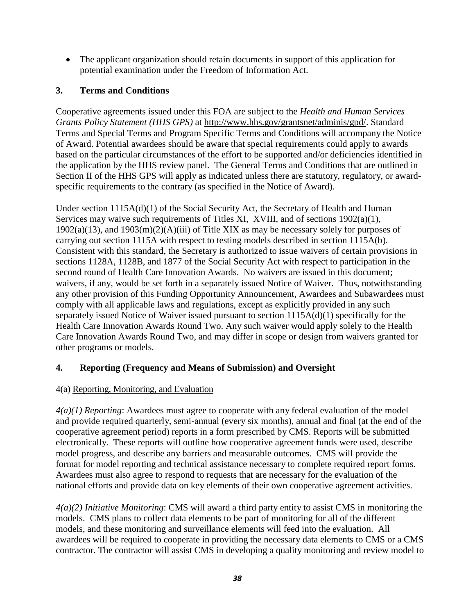The applicant organization should retain documents in support of this application for potential examination under the Freedom of Information Act.

## <span id="page-37-0"></span>**3. Terms and Conditions**

Cooperative agreements issued under this FOA are subject to the *Health and Human Services Grants Policy Statement (HHS GPS)* at [http://www.hhs.gov/grantsnet/adminis/gpd/.](http://www.hhs.gov/grantsnet/adminis/gpd/) Standard Terms and Special Terms and Program Specific Terms and Conditions will accompany the Notice of Award. Potential awardees should be aware that special requirements could apply to awards based on the particular circumstances of the effort to be supported and/or deficiencies identified in the application by the HHS review panel. The General Terms and Conditions that are outlined in Section II of the HHS GPS will apply as indicated unless there are statutory, regulatory, or awardspecific requirements to the contrary (as specified in the Notice of Award).

Under section 1115A(d)(1) of the Social Security Act, the Secretary of Health and Human Services may waive such requirements of Titles XI, XVIII, and of sections 1902(a)(1),  $1902(a)(13)$ , and  $1903(m)(2)(A)(iii)$  of Title XIX as may be necessary solely for purposes of carrying out section 1115A with respect to testing models described in section 1115A(b). Consistent with this standard, the Secretary is authorized to issue waivers of certain provisions in sections 1128A, 1128B, and 1877 of the Social Security Act with respect to participation in the second round of Health Care Innovation Awards. No waivers are issued in this document; waivers, if any, would be set forth in a separately issued Notice of Waiver. Thus, notwithstanding any other provision of this Funding Opportunity Announcement, Awardees and Subawardees must comply with all applicable laws and regulations, except as explicitly provided in any such separately issued Notice of Waiver issued pursuant to section 1115A(d)(1) specifically for the Health Care Innovation Awards Round Two. Any such waiver would apply solely to the Health Care Innovation Awards Round Two, and may differ in scope or design from waivers granted for other programs or models.

## <span id="page-37-1"></span>**4. Reporting (Frequency and Means of Submission) and Oversight**

## <span id="page-37-2"></span>4(a) Reporting, Monitoring, and Evaluation

*4(a)(1) Reporting*: Awardees must agree to cooperate with any federal evaluation of the model and provide required quarterly, semi-annual (every six months), annual and final (at the end of the cooperative agreement period) reports in a form prescribed by CMS. Reports will be submitted electronically. These reports will outline how cooperative agreement funds were used, describe model progress, and describe any barriers and measurable outcomes. CMS will provide the format for model reporting and technical assistance necessary to complete required report forms. Awardees must also agree to respond to requests that are necessary for the evaluation of the national efforts and provide data on key elements of their own cooperative agreement activities.

*4(a)(2) Initiative Monitoring*: CMS will award a third party entity to assist CMS in monitoring the models. CMS plans to collect data elements to be part of monitoring for all of the different models, and these monitoring and surveillance elements will feed into the evaluation. All awardees will be required to cooperate in providing the necessary data elements to CMS or a CMS contractor. The contractor will assist CMS in developing a quality monitoring and review model to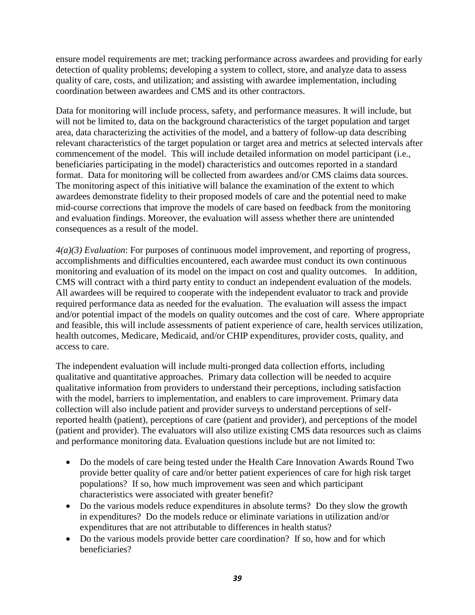ensure model requirements are met; tracking performance across awardees and providing for early detection of quality problems; developing a system to collect, store, and analyze data to assess quality of care, costs, and utilization; and assisting with awardee implementation, including coordination between awardees and CMS and its other contractors.

Data for monitoring will include process, safety, and performance measures. It will include, but will not be limited to, data on the background characteristics of the target population and target area, data characterizing the activities of the model, and a battery of follow-up data describing relevant characteristics of the target population or target area and metrics at selected intervals after commencement of the model. This will include detailed information on model participant (i.e., beneficiaries participating in the model) characteristics and outcomes reported in a standard format. Data for monitoring will be collected from awardees and/or CMS claims data sources. The monitoring aspect of this initiative will balance the examination of the extent to which awardees demonstrate fidelity to their proposed models of care and the potential need to make mid-course corrections that improve the models of care based on feedback from the monitoring and evaluation findings. Moreover, the evaluation will assess whether there are unintended consequences as a result of the model.

*4(a)(3) Evaluation*: For purposes of continuous model improvement, and reporting of progress, accomplishments and difficulties encountered, each awardee must conduct its own continuous monitoring and evaluation of its model on the impact on cost and quality outcomes. In addition, CMS will contract with a third party entity to conduct an independent evaluation of the models. All awardees will be required to cooperate with the independent evaluator to track and provide required performance data as needed for the evaluation. The evaluation will assess the impact and/or potential impact of the models on quality outcomes and the cost of care. Where appropriate and feasible, this will include assessments of patient experience of care, health services utilization, health outcomes, Medicare, Medicaid, and/or CHIP expenditures, provider costs, quality, and access to care.

The independent evaluation will include multi-pronged data collection efforts, including qualitative and quantitative approaches. Primary data collection will be needed to acquire qualitative information from providers to understand their perceptions, including satisfaction with the model, barriers to implementation, and enablers to care improvement. Primary data collection will also include patient and provider surveys to understand perceptions of selfreported health (patient), perceptions of care (patient and provider), and perceptions of the model (patient and provider). The evaluators will also utilize existing CMS data resources such as claims and performance monitoring data. Evaluation questions include but are not limited to:

- Do the models of care being tested under the Health Care Innovation Awards Round Two provide better quality of care and/or better patient experiences of care for high risk target populations? If so, how much improvement was seen and which participant characteristics were associated with greater benefit?
- Do the various models reduce expenditures in absolute terms? Do they slow the growth in expenditures? Do the models reduce or eliminate variations in utilization and/or expenditures that are not attributable to differences in health status?
- Do the various models provide better care coordination? If so, how and for which beneficiaries?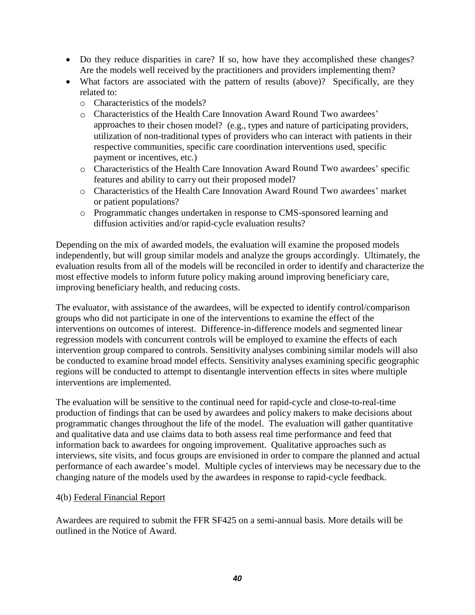- Do they reduce disparities in care? If so, how have they accomplished these changes? Are the models well received by the practitioners and providers implementing them?
- What factors are associated with the pattern of results (above)? Specifically, are they related to:
	- o Characteristics of the models?
	- o Characteristics of the Health Care Innovation Award Round Two awardees' approaches to their chosen model? (e.g., types and nature of participating providers, utilization of non-traditional types of providers who can interact with patients in their respective communities, specific care coordination interventions used, specific payment or incentives, etc.)
	- o Characteristics of the Health Care Innovation Award Round Two awardees' specific features and ability to carry out their proposed model?
	- o Characteristics of the Health Care Innovation Award Round Two awardees' market or patient populations?
	- o Programmatic changes undertaken in response to CMS-sponsored learning and diffusion activities and/or rapid-cycle evaluation results?

Depending on the mix of awarded models, the evaluation will examine the proposed models independently, but will group similar models and analyze the groups accordingly. Ultimately, the evaluation results from all of the models will be reconciled in order to identify and characterize the most effective models to inform future policy making around improving beneficiary care, improving beneficiary health, and reducing costs.

The evaluator, with assistance of the awardees, will be expected to identify control/comparison groups who did not participate in one of the interventions to examine the effect of the interventions on outcomes of interest. Difference-in-difference models and segmented linear regression models with concurrent controls will be employed to examine the effects of each intervention group compared to controls. Sensitivity analyses combining similar models will also be conducted to examine broad model effects. Sensitivity analyses examining specific geographic regions will be conducted to attempt to disentangle intervention effects in sites where multiple interventions are implemented.

The evaluation will be sensitive to the continual need for rapid-cycle and close-to-real-time production of findings that can be used by awardees and policy makers to make decisions about programmatic changes throughout the life of the model. The evaluation will gather quantitative and qualitative data and use claims data to both assess real time performance and feed that information back to awardees for ongoing improvement. Qualitative approaches such as interviews, site visits, and focus groups are envisioned in order to compare the planned and actual performance of each awardee's model. Multiple cycles of interviews may be necessary due to the changing nature of the models used by the awardees in response to rapid-cycle feedback.

#### <span id="page-39-0"></span>4(b) Federal Financial Report

<span id="page-39-1"></span>Awardees are required to submit the FFR SF425 on a semi-annual basis. More details will be outlined in the Notice of Award.